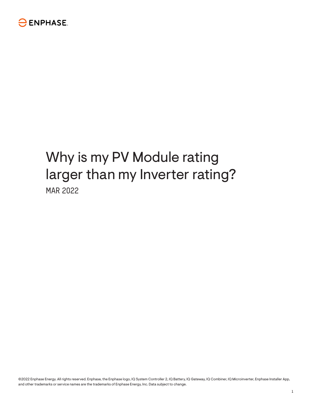

# Why is my PV Module rating larger than my Inverter rating? MAR 2022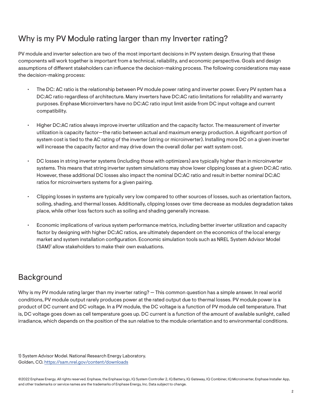# Why is my PV Module rating larger than my Inverter rating?

PV module and inverter selection are two of the most important decisions in PV system design. Ensuring that these components will work together is important from a technical, reliability, and economic perspective. Goals and design assumptions of different stakeholders can influence the decision-making process. The following considerations may ease the decision-making process:

- The DC: AC ratio is the relationship between PV module power rating and inverter power. Every PV system has a DC:AC ratio regardless of architecture. Many inverters have DC:AC ratio limitations for reliability and warranty purposes. Enphase Microinverters have no DC:AC ratio input limit aside from DC input voltage and current compatibility.
- Higher DC:AC ratios always improve inverter utilization and the capacity factor. The measurement of inverter utilization is capacity factor—the ratio between actual and maximum energy production. A significant portion of system cost is tied to the AC rating of the inverter (string or microinverter). Installing more DC on a given inverter will increase the capacity factor and may drive down the overall dollar per watt system cost.
- DC losses in string inverter systems (including those with optimizers) are typically higher than in microinverter systems. This means that string inverter system simulations may show lower clipping losses at a given DC:AC ratio. However, these additional DC losses also impact the nominal DC:AC ratio and result in better nominal DC:AC ratios for microinverters systems for a given pairing.
- Clipping losses in systems are typically very low compared to other sources of losses, such as orientation factors, soiling, shading, and thermal losses. Additionally, clipping losses over time decrease as modules degradation takes place, while other loss factors such as soiling and shading generally increase.
- Economic implications of various system performance metrics, including better inverter utilization and capacity factor by designing with higher DC:AC ratios, are ultimately dependent on the economics of the local energy market and system installation configuration. Economic simulation tools such as NREL System Advisor Model (SAM)<sup>1</sup> allow stakeholders to make their own evaluations.

## **Background**

Why is my PV module rating larger than my inverter rating? — This common question has a simple answer. In real world conditions, PV module output rarely produces power at the rated output due to thermal losses. PV module power is a product of DC current and DC voltage. In a PV module, the DC voltage is a function of PV module cell temperature. That is, DC voltage goes down as cell temperature goes up. DC current is a function of the amount of available sunlight, called irradiance, which depends on the position of the sun relative to the module orientation and to environmental conditions.

1) System Advisor Model. National Research Energy Laboratory. Golden, CO. https://sam.nrel.gov/content/downloads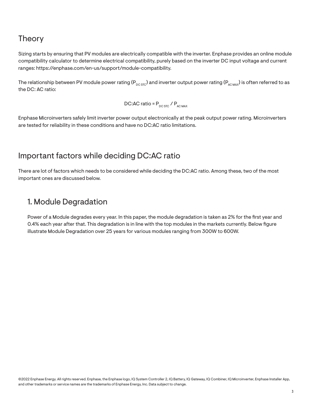### **Theory**

Sizing starts by ensuring that PV modules are electrically compatible with the inverter. Enphase provides an online module compatibility calculator to determine electrical compatibility, purely based on the inverter DC input voltage and current ranges: https://enphase.com/en-us/support/module-compatibility.

The relationship between PV module power rating (P<sub>DC STC</sub>) and inverter output power rating (P<sub>AC MAX</sub>) is often referred to as the DC: AC ratio:

DC:AC ratio = 
$$
P_{DC STC} / P_{AC MAX}
$$

Enphase Microinverters safely limit inverter power output electronically at the peak output power rating. Microinverters are tested for reliability in these conditions and have no DC:AC ratio limitations.

### Important factors while deciding DC:AC ratio

There are lot of factors which needs to be considered while deciding the DC:AC ratio. Among these, two of the most important ones are discussed below.

### 1. Module Degradation

Power of a Module degrades every year. In this paper, the module degradation is taken as 2% for the first year and 0.4% each year after that. This degradation is in line with the top modules in the markets currently. Below figure illustrate Module Degradation over 25 years for various modules ranging from 300W to 600W.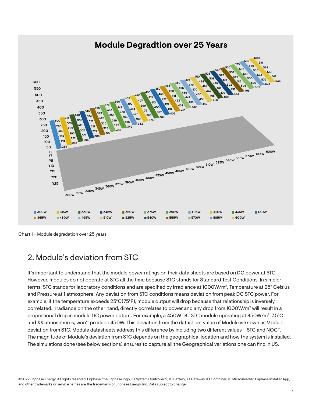

Chart 1 – Module degradation over 25 years

### 2. Module's deviation from STC

It's important to understand that the module power ratings on their data sheets are based on DC power at STC. However, modules do not operate at STC all the time because STC stands for Standard Test Conditions. In simpler terms, STC stands for laboratory conditions and are specified by Irradiance at 1000W/m<sup>2</sup>, Temperature at 25° Celsius and Pressure at 1 atmosphere. Any deviation from STC conditions means deviation from peak DC STC power. For example, if the temperature exceeds 25°C(75°F), module output will drop because that relationship is inversely correlated. Irradiance on the other hand, directly correlates to power and any drop from 1000W/m<sup>2</sup> will result in a proportional drop in module DC power output. For example, a 450W DC STC module operating at 850W/m2, 35°C and XX atmospheres, won't produce 450W. This deviation from the datasheet value of Module is known as Module deviation from STC. Module datasheets address this difference by including two different values – STC and NOCT. The magnitude of Module's deviation from STC depends on the geographical location and how the system is installed. The simulations done (see below sections) ensures to capture all the Geographical variations one can find in US.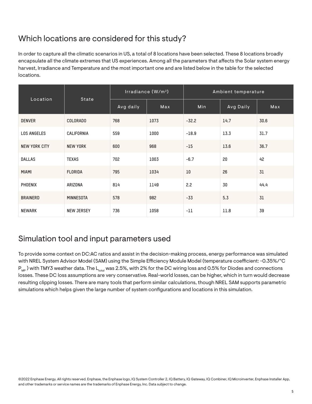# Which locations are considered for this study?

In order to capture all the climatic scenarios in US, a total of 8 locations have been selected. These 8 locations broadly encapsulate all the climate extremes that US experiences. Among all the parameters that affects the Solar system energy harvest, Irradiance and Temperature and the most important one and are listed below in the table for the selected locations.

| Location             |                   |           | Irradiance $(W/m2)$ | Ambient temperature |           |      |  |
|----------------------|-------------------|-----------|---------------------|---------------------|-----------|------|--|
|                      | State             | Avg daily | Max                 | Min                 | Avg Daily | Max  |  |
| <b>DENVER</b>        | <b>COLORADO</b>   | 768       | 1073                | $-32.2$             | 14.7      | 30.6 |  |
| <b>LOS ANGELES</b>   | CALIFORNIA        | 559       | 1000                | $-18.9$             | 13.3      | 31.7 |  |
| <b>NEW YORK CITY</b> | <b>NEW YORK</b>   | 600       | 968                 | $-15$               | 13.6      | 36.7 |  |
| <b>DALLAS</b>        | <b>TEXAS</b>      | 702       | 1003                | $-6.7$              | 20        | 42   |  |
| <b>MIAMI</b>         | <b>FLORIDA</b>    | 795       | 1034                | 10                  | 26        | 31   |  |
| PHOENIX              | ARIZONA           | 814       | 1149                | 2.2                 | 30        | 44.4 |  |
| <b>BRAINERD</b>      | <b>MINNESOTA</b>  | 578       | 982                 | $-33$               | 5.3       | 31   |  |
| <b>NEWARK</b>        | <b>NEW JERSEY</b> | 736       | 1058                | $-11$               | 11.8      | 39   |  |

### Simulation tool and input parameters used

To provide some context on DC:AC ratios and assist in the decision-making process, energy performance was simulated with NREL System Advisor Model (SAM) using the Simple Efficiency Module Model (temperature coefficient: -0.35%/°C  $P_{MP}$ ) with TMY3 weather data. The L<sub>total</sub> was 2.5%, with 2% for the DC wiring loss and 0.5% for Diodes and connections losses. These DC loss assumptions are very conservative. Real-world losses, can be higher, which in turn would decrease resulting clipping losses. There are many tools that perform similar calculations, though NREL SAM supports parametric simulations which helps given the large number of system configurations and locations in this simulation.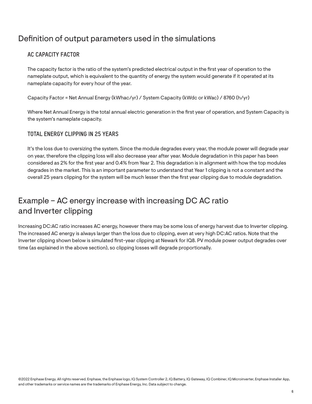### Definition of output parameters used in the simulations

#### **AC CAPACITY FACTOR**

The capacity factor is the ratio of the system's predicted electrical output in the first year of operation to the nameplate output, which is equivalent to the quantity of energy the system would generate if it operated at its nameplate capacity for every hour of the year.

Capacity Factor = Net Annual Energy (kWhac/yr) / System Capacity (kWdc or kWac) / 8760 (h/yr)

Where Net Annual Energy is the total annual electric generation in the first year of operation, and System Capacity is the system's nameplate capacity.

#### **TOTAL ENERGY CLIPPING IN 25 YEARS**

It's the loss due to oversizing the system. Since the module degrades every year, the module power will degrade year on year, therefore the clipping loss will also decrease year after year. Module degradation in this paper has been considered as 2% for the first year and 0.4% from Year 2. This degradation is in alignment with how the top modules degrades in the market. This is an important parameter to understand that Year 1 clipping is not a constant and the overall 25 years clipping for the system will be much lesser then the first year clipping due to module degradation.

### Example – AC energy increase with increasing DC AC ratio and Inverter clipping

Increasing DC:AC ratio increases AC energy, however there may be some loss of energy harvest due to Inverter clipping. The increased AC energy is always larger than the loss due to clipping, even at very high DC:AC ratios. Note that the Inverter clipping shown below is simulated first-year clipping at Newark for IQ8. PV module power output degrades over time (as explained in the above section), so clipping losses will degrade proportionally.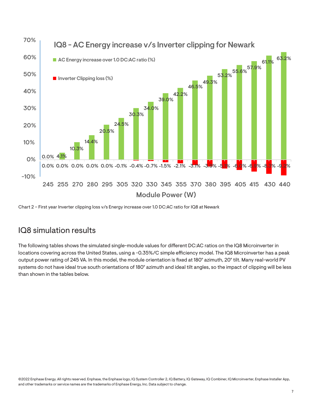

Chart 2 – First year Inverter clipping loss v/s Energy increase over 1.0 DC:AC ratio for IQ8 at Newark

## IQ8 simulation results

The following tables shows the simulated single-module values for different DC:AC ratios on the IQ8 Microinverter in locations covering across the United States, using a -0.35%/C simple efficiency model. The IQ8 Microinverter has a peak output power rating of 245 VA. In this model, the module orientation is fixed at 180° azimuth, 20° tilt. Many real-world PV systems do not have ideal true south orientations of 180° azimuth and ideal tilt angles, so the impact of clipping will be less than shown in the tables below.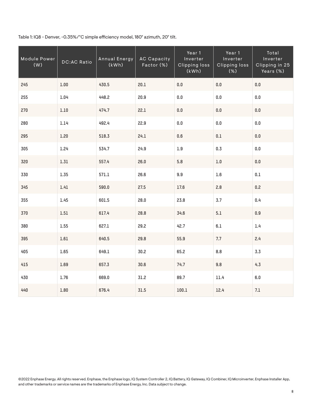Table 1: IQ8 - Denver, -0.35%/°C simple efficiency model, 180° azimuth, 20° tilt.

| Module Power<br>(W) | <b>DC:AC Ratio</b> | <b>Annual Energy</b><br>(kWh) | <b>AC Capacity</b><br>Factor (%) | Year 1<br>Inverter<br><b>Clipping loss</b><br>(kWh) | Year 1<br>Inverter<br><b>Clipping loss</b><br>(%) | Total<br>Inverter<br>Clipping in 25<br>Years (%) |
|---------------------|--------------------|-------------------------------|----------------------------------|-----------------------------------------------------|---------------------------------------------------|--------------------------------------------------|
| 245                 | $1.00\,$           | 430.5                         | 20.1                             | $0.0\,$                                             | $0.0\,$                                           | $0.0\,$                                          |
| 255                 | 1.04               | 448.2                         | 20.9                             | 0.0                                                 | $0.0\,$                                           | 0.0                                              |
| 270                 | $1.10\,$           | 474.7                         | 22.1                             | $0.0\,$                                             | $0.0\,$                                           | $0.0\,$                                          |
| 280                 | 1.14               | 492.4                         | 22.9                             | $0.0\,$                                             | $0.0\,$                                           | $0.0\,$                                          |
| 295                 | 1.20               | 518.3                         | 24.1                             | 0.6                                                 | $0.1\,$                                           | $0.0\,$                                          |
| 305                 | 1.24               | 534.7                         | 24.9                             | 1.9                                                 | 0.3                                               | 0.0                                              |
| 320                 | 1.31               | 557.4                         | 26.0                             | 5.8                                                 | $1.0\,$                                           | $0.0\,$                                          |
| 330                 | 1.35               | 571.1                         | 26.6                             | 9.9                                                 | 1.6                                               | 0.1                                              |
| 345                 | 1.41               | 590.0                         | 27.5                             | 17.6                                                | 2.8                                               | 0.2                                              |
| 355                 | 1.45               | 601.5                         | 28.0                             | 23.8                                                | 3.7                                               | 0.4                                              |
| 370                 | $1.51\,$           | 617.4                         | 28.8                             | 34.6                                                | 5.1                                               | 0.9                                              |
| 380                 | 1.55               | 627.1                         | 29.2                             | 42.7                                                | 6.1                                               | 1.4                                              |
| 395                 | 1.61               | 640.5                         | 29.8                             | 55.9                                                | 7.7                                               | 2.4                                              |
| 405                 | 1.65               | 649.1                         | 30.2                             | 65.2                                                | 8.8                                               | 3.3                                              |
| 415                 | 1.69               | 657.3                         | 30.6                             | 74.7                                                | 9.8                                               | 4.3                                              |
| 430                 | 1.76               | 669.0                         | 31.2                             | 89.7                                                | $11.4\,$                                          | 6.0                                              |
| 440                 | $1.80\,$           | 676.4                         | 31.5                             | 100.1                                               | 12.4                                              | 7.1                                              |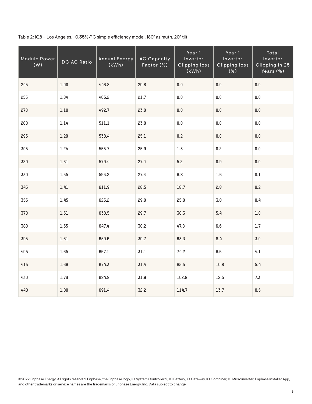Table 2: IQ8 – Los Angeles, -0.35%/°C simple efficiency model, 180° azimuth, 20° tilt.

| Module Power<br>(W) | <b>DC:AC Ratio</b> | Annual Energy<br>(kWh) | <b>AC Capacity</b><br>Factor (%) | Year 1<br>Inverter<br><b>Clipping loss</b><br>(kWh) | Year 1<br>Inverter<br><b>Clipping loss</b><br>(%) | Total<br>Inverter<br>Clipping in 25<br>Years (%) |
|---------------------|--------------------|------------------------|----------------------------------|-----------------------------------------------------|---------------------------------------------------|--------------------------------------------------|
| 245                 | $1.00\,$           | 446.8                  | 20.8                             | 0.0                                                 | $0.0\,$                                           | $0.0\,$                                          |
| 255                 | 1.04               | 465.2                  | 21.7                             | $0.0\,$                                             | $0.0\,$                                           | $0.0\,$                                          |
| 270                 | 1.10               | 492.7                  | 23.0                             | $0.0\,$                                             | 0.0                                               | 0.0                                              |
| 280                 | 1.14               | 511.1                  | 23.8                             | 0.0                                                 | $0.0\,$                                           | 0.0                                              |
| 295                 | 1.20               | 538.4                  | 25.1                             | 0.2                                                 | $0.0\,$                                           | $0.0\,$                                          |
| 305                 | 1.24               | 555.7                  | 25.9                             | 1.3                                                 | 0.2                                               | $0.0\,$                                          |
| 320                 | 1.31               | 579.4                  | 27.0                             | 5.2                                                 | 0.9                                               | $0.0\,$                                          |
| 330                 | 1.35               | 593.2                  | 27.6                             | 9.8                                                 | 1.6                                               | 0.1                                              |
| 345                 | $1.41$             | 611.9                  | 28.5                             | 18.7                                                | 2.8                                               | 0.2                                              |
| 355                 | 1.45               | 623.2                  | 29.0                             | 25.8                                                | 3.8                                               | $0.4\,$                                          |
| 370                 | $1.51\,$           | 638.5                  | 29.7                             | 38.3                                                | 5.4                                               | $1.0\,$                                          |
| 380                 | 1.55               | 647.4                  | 30.2                             | 47.8                                                | 6.6                                               | $1.7\,$                                          |
| 395                 | $1.61$             | 659.6                  | 30.7                             | 63.3                                                | 8.4                                               | 3.0                                              |
| 405                 | 1.65               | 667.1                  | 31.1                             | 74.2                                                | 9.6                                               | 4.1                                              |
| 415                 | 1.69               | 674.3                  | 31.4                             | 85.5                                                | $10.8\,$                                          | 5.4                                              |
| 430                 | 1.76               | 684.8                  | 31.9                             | 102.8                                               | 12.5                                              | 7.3                                              |
| 440                 | $1.80\,$           | 691.4                  | 32.2                             | 114.7                                               | 13.7                                              | 8.5                                              |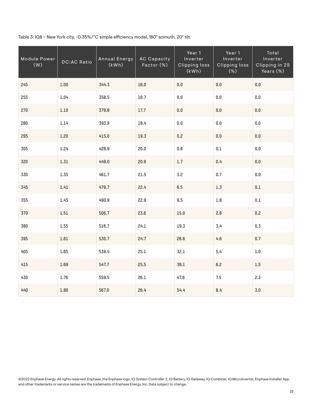Table 3: IQ8 – New York city, -0.35%/°C simple efficiency model, 180° azimuth, 20° tilt.

| Module Power<br>(W) | <b>DC:AC Ratio</b> | <b>Annual Energy</b><br>(kWh) | <b>AC Capacity</b><br>Factor (%) | Year 1<br>Inverter<br><b>Clipping loss</b><br>(kWh) | Year 1<br>Inverter<br><b>Clipping loss</b><br>$\overline{(\%)}$ | Total<br>Inverter<br>Clipping in 25<br>Years (%) |
|---------------------|--------------------|-------------------------------|----------------------------------|-----------------------------------------------------|-----------------------------------------------------------------|--------------------------------------------------|
| 245                 | $1.00\,$           | 344.3                         | 16.0                             | $0.0\,$                                             | $0.0\,$                                                         | $0.0\,$                                          |
| 255                 | 1.04               | 358.5                         | 16.7                             | 0.0                                                 | $0.0\,$                                                         | 0.0                                              |
| 270                 | $1.10\,$           | 379.8                         | 17.7                             | $0.0\,$                                             | $0.0\,$                                                         | 0.0                                              |
| 280                 | 1.14               | 393.9                         | 18.4                             | 0.0                                                 | $0.0\,$                                                         | $0.0\,$                                          |
| 295                 | 1.20               | 415.0                         | 19.3                             | 0.2                                                 | $0.0\,$                                                         | $0.0\,$                                          |
| 305                 | 1.24               | 428.9                         | 20.0                             | 0.6                                                 | $0.1\,$                                                         | 0.0                                              |
| 320                 | $1.31\,$           | 449.0                         | 20.9                             | $1.7\,$                                             | $0.4\,$                                                         | $0.0\,$                                          |
| 330                 | 1.35               | 461.7                         | 21.5                             | 3.2                                                 | 0.7                                                             | 0.0                                              |
| 345                 | 1.41               | 479.7                         | 22.4                             | 6.5                                                 | $1.3\,$                                                         | $0.1\,$                                          |
| 355                 | 1.45               | 490.9                         | 22.9                             | 9.5                                                 | $1.8\,$                                                         | $0.1\,$                                          |
| 370                 | $1.51\,$           | 506.7                         | 23.6                             | 15.0                                                | 2.8                                                             | 0.2                                              |
| 380                 | 1.55               | 516.7                         | 24.1                             | 19.3                                                | 3.4                                                             | 0.3                                              |
| 395                 | 1.61               | 530.7                         | 24.7                             | 26.6                                                | 4.6                                                             | 0.7                                              |
| 405                 | 1.65               | 539.4                         | 25.1                             | 32.1                                                | 5.4                                                             | $1.0\,$                                          |
| 415                 | 1.69               | 547.7                         | 25.5                             | 38.1                                                | 6.2                                                             | $1.5\,$                                          |
| 430                 | 1.76               | 559.5                         | 26.1                             | 47.6                                                | 7.5                                                             | 2.3                                              |
| 440                 | $1.80\,$           | 567.0                         | 26.4                             | 54.4                                                | 8.4                                                             | $3.0\,$                                          |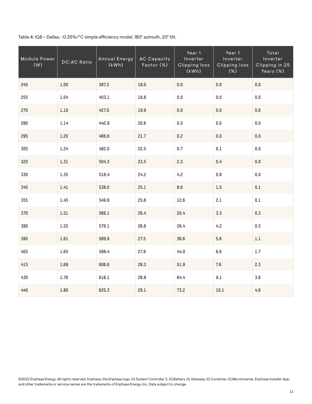Table 4: IQ8 – Dallas, -0.35%/°C simple efficiency model, 180° azimuth, 20° tilt.

| Module Power<br>(W) | <b>DC:AC Ratio</b> | Annual Energy<br>(kWh) | <b>AC Capacity</b><br>Factor (%) | Year 1<br>Inverter<br><b>Clipping loss</b><br>(kWh) | Year 1<br>Inverter<br><b>Clipping loss</b><br>(%) | Total<br>Inverter<br>Clipping in 25<br>Years (%) |
|---------------------|--------------------|------------------------|----------------------------------|-----------------------------------------------------|---------------------------------------------------|--------------------------------------------------|
| 245                 | $1.00\,$           | 387.2                  | 18.0                             | 0.0                                                 | $0.0\,$                                           | $0.0\,$                                          |
| 255                 | 1.04               | 403.1                  | 18.8                             | $0.0\,$                                             | $0.0\,$                                           | $0.0\,$                                          |
| 270                 | $1.10\,$           | 427.0                  | 19.9                             | $0.0\,$                                             | $0.0\,$                                           | $0.0\,$                                          |
| 280                 | 1.14               | 442.9                  | 20.6                             | 0.0                                                 | 0.0                                               | 0.0                                              |
| 295                 | 1.20               | 466.6                  | 21.7                             | 0.2                                                 | $0.0\,$                                           | $0.0\,$                                          |
| 305                 | 1.24               | 482.0                  | 22.5                             | 0.7                                                 | $0.1\,$                                           | 0.0                                              |
| 320                 | 1.31               | 504.3                  | 23.5                             | 2.3                                                 | $0.4\,$                                           | $0.0\,$                                          |
| 330                 | 1.35               | 518.4                  | 24.2                             | 4.2                                                 | $0.8\,$                                           | 0.0                                              |
| 345                 | 1.41               | 538.0                  | 25.1                             | 8.6                                                 | $1.5\,$                                           | $0.1\,$                                          |
| 355                 | 1.45               | 549.9                  | 25.6                             | 12.6                                                | 2.1                                               | $0.1\,$                                          |
| 370                 | $1.51\,$           | 566.1                  | 26.4                             | 20.4                                                | 3.3                                               | 0.3                                              |
| 380                 | 1.55               | 576.1                  | 26.8                             | 26.4                                                | 4.2                                               | 0.5                                              |
| 395                 | 1.61               | 589.9                  | 27.5                             | 36.6                                                | 5.6                                               | $1.1\,$                                          |
| 405                 | 1.65               | 598.4                  | 27.9                             | 44.0                                                | 6.6                                               | 1.7                                              |
| 415                 | 1.69               | 606.6                  | 28.3                             | $51.9\,$                                            | $7.6\,$                                           | 2.3                                              |
| 430                 | $1.76\,$           | 618.1                  | 28.8                             | 64.4                                                | 9.1                                               | 3.6                                              |
| 440                 | $1.80\,$           | 625.3                  | 29.1                             | 73.2                                                | $10.1\,$                                          | 4.6                                              |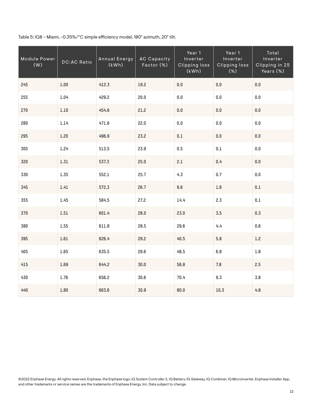Table 5: IQ8 – Miami, -0.35%/°C simple efficiency model, 180° azimuth, 20° tilt.

| Module Power<br>(W) | <b>DC:AC Ratio</b> | <b>Annual Energy</b><br>(kWh) | <b>AC Capacity</b><br>Factor (%) | Year 1<br>Inverter<br><b>Clipping loss</b><br>(kWh) | Year 1<br>Inverter<br><b>Clipping loss</b><br>(%) | Total<br>Inverter<br>Clipping in 25<br>Years (%) |
|---------------------|--------------------|-------------------------------|----------------------------------|-----------------------------------------------------|---------------------------------------------------|--------------------------------------------------|
| 245                 | $1.00\,$           | 412.3                         | 19.2                             | $0.0\,$                                             | $0.0\,$                                           | $0.0\,$                                          |
| 255                 | 1.04               | 429.2                         | 20.0                             | 0.0                                                 | 0.0                                               | 0.0                                              |
| 270                 | $1.10\,$           | 454.6                         | 21.2                             | $0.0\,$                                             | $0.0\,$                                           | 0.0                                              |
| 280                 | 1.14               | 471.6                         | 22.0                             | $0.0\,$                                             | $0.0\,$                                           | $0.0\,$                                          |
| 295                 | 1.20               | 496.9                         | 23.2                             | $0.1\,$                                             | $0.0\,$                                           | $0.0\,$                                          |
| 305                 | 1.24               | 513.5                         | 23.9                             | 0.5                                                 | $0.1\,$                                           | $0.0\,$                                          |
| 320                 | $1.31\,$           | 537.3                         | 25.0                             | $2.1\,$                                             | $0.4\,$                                           | $0.0\,$                                          |
| 330                 | 1.35               | 552.1                         | 25.7                             | 4.3                                                 | 0.7                                               | $0.0\,$                                          |
| 345                 | 1.41               | 572.3                         | 26.7                             | 9.6                                                 | $1.6\,$                                           | $0.1\,$                                          |
| 355                 | 1.45               | 584.5                         | 27.2                             | 14.4                                                | 2.3                                               | $0.1\,$                                          |
| 370                 | $1.51\,$           | 601.4                         | 28.0                             | 23.0                                                | $3.5\,$                                           | 0.3                                              |
| 380                 | 1.55               | 611.8                         | 28.5                             | 29.6                                                | 4.4                                               | $0.6\,$                                          |
| 395                 | $1.61$             | 626.4                         | 29.2                             | 40.5                                                | 5.8                                               | $1.2\,$                                          |
| 405                 | 1.65               | 635.5                         | 29.6                             | 48.5                                                | 6.8                                               | $1.8\,$                                          |
| 415                 | 1.69               | 644.2                         | 30.0                             | 56.8                                                | 7.8                                               | 2.5                                              |
| 430                 | 1.76               | 656.2                         | 30.6                             | 70.4                                                | 9.3                                               | 3.8                                              |
| 440                 | $1.80\,$           | 663.6                         | 30.9                             | 80.0                                                | 10.3                                              | 4.8                                              |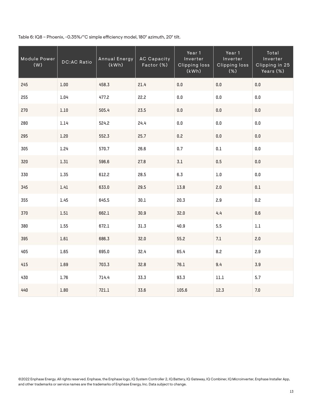Table 6: IQ8 – Phoenix, -0.35%/°C simple efficiency model, 180° azimuth, 20° tilt.

| Module Power<br>(W) | <b>DC:AC Ratio</b> | Annual Energy<br>(kWh) | <b>AC Capacity</b><br>Factor (%) | Year 1<br>Inverter<br><b>Clipping loss</b><br>(kWh) | Year 1<br>Inverter<br><b>Clipping loss</b><br>$(\%)$ | Total<br>Inverter<br>Clipping in 25<br>Years (%) |
|---------------------|--------------------|------------------------|----------------------------------|-----------------------------------------------------|------------------------------------------------------|--------------------------------------------------|
| 245                 | 1.00               | 458.3                  | 21.4                             | $0.0\,$                                             | $0.0\,$                                              | $0.0\,$                                          |
| 255                 | 1.04               | 477.2                  | 22.2                             | $0.0\,$                                             | $0.0\,$                                              | $0.0\,$                                          |
| 270                 | $1.10\,$           | 505.4                  | 23.5                             | $0.0\,$                                             | $0.0\,$                                              | $0.0\,$                                          |
| 280                 | 1.14               | 524.2                  | 24.4                             | 0.0                                                 | $0.0\,$                                              | 0.0                                              |
| 295                 | 1.20               | 552.3                  | 25.7                             | 0.2                                                 | $0.0\,$                                              | $0.0\,$                                          |
| 305                 | 1.24               | 570.7                  | 26.6                             | 0.7                                                 | $0.1\,$                                              | 0.0                                              |
| 320                 | 1.31               | 596.6                  | 27.8                             | 3.1                                                 | $0.5\,$                                              | $0.0\,$                                          |
| 330                 | 1.35               | 612.2                  | 28.5                             | 6.3                                                 | $1.0\,$                                              | 0.0                                              |
| 345                 | 1.41               | 633.0                  | 29.5                             | 13.8                                                | 2.0                                                  | $0.1\,$                                          |
| 355                 | 1.45               | 645.5                  | 30.1                             | 20.3                                                | 2.9                                                  | 0.2                                              |
| 370                 | $1.51\,$           | 662.1                  | 30.9                             | 32.0                                                | 4.4                                                  | $0.6\,$                                          |
| 380                 | 1.55               | 672.1                  | 31.3                             | 40.9                                                | 5.5                                                  | $1.1\,$                                          |
| 395                 | 1.61               | 686.3                  | 32.0                             | 55.2                                                | 7.1                                                  | 2.0                                              |
| 405                 | 1.65               | 695.0                  | 32.4                             | 65.4                                                | 8.2                                                  | 2.9                                              |
| 415                 | 1.69               | 703.3                  | 32.8                             | 76.1                                                | 9.4                                                  | 3.9                                              |
| 430                 | 1.76               | 714.4                  | 33.3                             | 93.3                                                | $11.1\,$                                             | 5.7                                              |
| 440                 | $1.80\,$           | 721.1                  | 33.6                             | 105.6                                               | 12.3                                                 | 7.0                                              |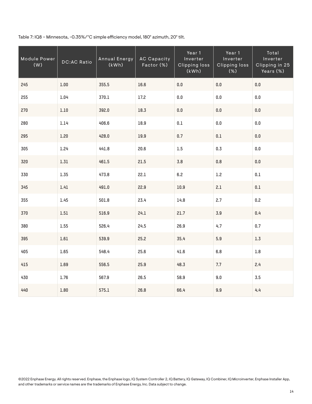Table 7: IQ8 – Minnesota, -0.35%/°C simple efficiency model, 180° azimuth, 20° tilt.

| Module Power<br>(W) | <b>DC:AC Ratio</b> | <b>Annual Energy</b><br>(kWh) | <b>AC Capacity</b><br>Factor (%) | Year 1<br>Inverter<br><b>Clipping loss</b><br>(kWh) | Year 1<br>Inverter<br><b>Clipping loss</b><br>$\overline{(\%)}$ | Total<br>Inverter<br>Clipping in 25<br>Years (%) |
|---------------------|--------------------|-------------------------------|----------------------------------|-----------------------------------------------------|-----------------------------------------------------------------|--------------------------------------------------|
| 245                 | $1.00\,$           | 355.5                         | 16.6                             | $0.0\,$                                             | $0.0\,$                                                         | $0.0\,$                                          |
| 255                 | 1.04               | 370.1                         | 17.2                             | 0.0                                                 | $0.0\,$                                                         | 0.0                                              |
| 270                 | $1.10\,$           | 392.0                         | 18.3                             | $0.0\,$                                             | $0.0\,$                                                         | 0.0                                              |
| 280                 | 1.14               | 406.6                         | 18.9                             | $0.1\,$                                             | $0.0\,$                                                         | $0.0\,$                                          |
| 295                 | 1.20               | 428.0                         | 19.9                             | 0.7                                                 | $0.1\,$                                                         | $0.0\,$                                          |
| 305                 | 1.24               | 441.8                         | 20.6                             | 1.5                                                 | 0.3                                                             | 0.0                                              |
| 320                 | $1.31\,$           | 461.5                         | 21.5                             | $3.8$                                               | $0.8\,$                                                         | $0.0\,$                                          |
| 330                 | 1.35               | 473.8                         | 22.1                             | 6.2                                                 | 1.2                                                             | 0.1                                              |
| 345                 | 1.41               | 491.0                         | 22.9                             | $10.9\,$                                            | 2.1                                                             | $0.1\,$                                          |
| 355                 | 1.45               | 501.8                         | 23.4                             | 14.8                                                | 2.7                                                             | 0.2                                              |
| 370                 | $1.51\,$           | 516.9                         | 24.1                             | 21.7                                                | 3.9                                                             | 0.4                                              |
| 380                 | 1.55               | 526.4                         | 24.5                             | 26.9                                                | 4.7                                                             | 0.7                                              |
| 395                 | $1.61$             | 539.9                         | 25.2                             | 35.4                                                | 5.9                                                             | $1.3\,$                                          |
| 405                 | 1.65               | 548.4                         | 25.6                             | 41.6                                                | 6.8                                                             | $1.8\,$                                          |
| 415                 | 1.69               | 556.5                         | 25.9                             | 48.3                                                | 7.7                                                             | 2.4                                              |
| 430                 | 1.76               | 567.9                         | 26.5                             | 58.9                                                | 9.0                                                             | 3.5                                              |
| 440                 | $1.80\,$           | 575.1                         | 26.8                             | 66.4                                                | 9.9                                                             | 4.4                                              |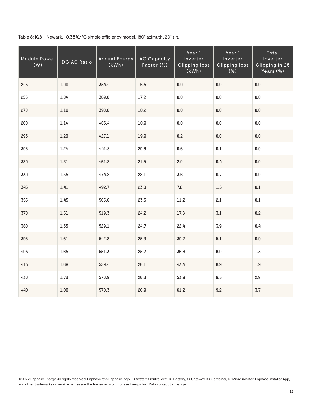Table 8: IQ8 – Newark, -0.35%/°C simple efficiency model, 180° azimuth, 20° tilt.

| Module Power<br>(W) | <b>DC:AC Ratio</b> | <b>Annual Energy</b><br>(kWh) | <b>AC Capacity</b><br>Factor (%) | Year 1<br>Inverter<br><b>Clipping loss</b><br>(kWh) | Year 1<br>Inverter<br><b>Clipping loss</b><br>$\overline{(\%)}$ | Total<br>Inverter<br>Clipping in 25<br>Years (%) |
|---------------------|--------------------|-------------------------------|----------------------------------|-----------------------------------------------------|-----------------------------------------------------------------|--------------------------------------------------|
| 245                 | $1.00\,$           | 354.4                         | 16.5                             | $0.0\,$                                             | $0.0\,$                                                         | $0.0\,$                                          |
| 255                 | 1.04               | 369.0                         | 17.2                             | 0.0                                                 | $0.0\,$                                                         | 0.0                                              |
| 270                 | $1.10\,$           | 390.8                         | 18.2                             | $0.0\,$                                             | $0.0\,$                                                         | 0.0                                              |
| 280                 | 1.14               | 405.4                         | 18.9                             | $0.0\,$                                             | $0.0\,$                                                         | $0.0\,$                                          |
| 295                 | 1.20               | 427.1                         | 19.9                             | 0.2                                                 | $0.0\,$                                                         | $0.0\,$                                          |
| 305                 | 1.24               | 441.3                         | 20.6                             | 0.6                                                 | $0.1\,$                                                         | $0.0\,$                                          |
| 320                 | $1.31\,$           | 461.8                         | 21.5                             | 2.0                                                 | $0.4\,$                                                         | $0.0\,$                                          |
| 330                 | 1.35               | 474.8                         | 22.1                             | 3.6                                                 | 0.7                                                             | 0.0                                              |
| 345                 | 1.41               | 492.7                         | 23.0                             | 7.6                                                 | $1.5\,$                                                         | $0.1\,$                                          |
| 355                 | 1.45               | 503.8                         | 23.5                             | 11.2                                                | 2.1                                                             | $0.1\,$                                          |
| 370                 | $1.51\,$           | 519.3                         | 24.2                             | 17.6                                                | 3.1                                                             | 0.2                                              |
| 380                 | 1.55               | 529.1                         | 24.7                             | 22.4                                                | 3.9                                                             | 0.4                                              |
| 395                 | $1.61$             | 542.8                         | 25.3                             | 30.7                                                | 5.1                                                             | $0.9\,$                                          |
| 405                 | 1.65               | 551.3                         | 25.7                             | 36.8                                                | 6.0                                                             | 1.3                                              |
| 415                 | 1.69               | 559.4                         | 26.1                             | 43.4                                                | 6.9                                                             | $1.9\,$                                          |
| 430                 | 1.76               | 570.9                         | 26.6                             | 53.8                                                | 8.3                                                             | 2.9                                              |
| 440                 | $1.80\,$           | 578.3                         | 26.9                             | 61.2                                                | 9.2                                                             | 3.7                                              |

©2022 Enphase Energy. All rights reserved. Enphase, the Enphase logo, IQ System Controller 2, IQ Battery, IQ Gateway, IQ Combiner, IQ Microinverter, Enphase Installer App, and other trademarks or service names are the trademarks of Enphase Energy, Inc. Data subject to change.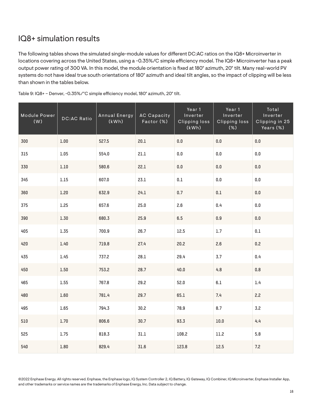# IQ8+ simulation results

The following tables shows the simulated single-module values for different DC:AC ratios on the IQ8+ Microinverter in locations covering across the United States, using a -0.35%/C simple efficiency model. The IQ8+ Microinverter has a peak output power rating of 300 VA. In this model, the module orientation is fixed at 180° azimuth, 20° tilt. Many real-world PV systems do not have ideal true south orientations of 180° azimuth and ideal tilt angles, so the impact of clipping will be less than shown in the tables below.

| Module Power<br>(W) | <b>DC:AC Ratio</b> | Annual Energy<br>(kWh) | <b>AC Capacity</b><br>Factor (%) | Year 1<br>Inverter<br><b>Clipping loss</b><br>(kWh) | Year 1<br>Inverter<br><b>Clipping loss</b><br>(%) | Total<br>Inverter<br>Clipping in 25<br>Years (%) |
|---------------------|--------------------|------------------------|----------------------------------|-----------------------------------------------------|---------------------------------------------------|--------------------------------------------------|
| 300                 | 1.00               | 527.5                  | 20.1                             | $0.0\,$                                             | $0.0\,$                                           | 0.0                                              |
| 315                 | 1.05               | 554.0                  | 21.1                             | 0.0                                                 | $0.0\,$                                           | $0.0\,$                                          |
| 330                 | $1.10\,$           | 580.6                  | 22.1                             | $0.0\,$                                             | $0.0\,$                                           | $0.0\,$                                          |
| 345                 | $1.15\,$           | 607.0                  | 23.1                             | $0.1\,$                                             | $0.0\,$                                           | $0.0\,$                                          |
| 360                 | 1.20               | 632.9                  | 24.1                             | 0.7                                                 | $0.1\,$                                           | $0.0\,$                                          |
| 375                 | 1.25               | 657.6                  | 25.0                             | 2.6                                                 | 0.4                                               | $0.0\,$                                          |
| 390                 | 1.30               | 680.3                  | 25.9                             | 6.5                                                 | $0.9\,$                                           | $0.0\,$                                          |
| 405                 | 1.35               | 700.9                  | 26.7                             | 12.5                                                | 1.7                                               | 0.1                                              |
| 420                 | 1.40               | 719.8                  | 27.4                             | 20.2                                                | 2.6                                               | 0.2                                              |
| 435                 | 1.45               | 737.2                  | 28.1                             | 29.4                                                | 3.7                                               | 0.4                                              |
| 450                 | 1.50               | 753.2                  | 28.7                             | 40.0                                                | 4.8                                               | $0.8\,$                                          |
| 465                 | 1.55               | 767.8                  | 29.2                             | 52.0                                                | 6.1                                               | 1.4                                              |
| 480                 | $1.60\,$           | 781.4                  | 29.7                             | 65.1                                                | 7.4                                               | 2.2                                              |
| 495                 | 1.65               | 794.3                  | 30.2                             | 78.9                                                | 8.7                                               | 3.2                                              |
| 510                 | $1.70\,$           | 806.6                  | 30.7                             | 93.3                                                | $10.0\,$                                          | 4.4                                              |
| 525                 | 1.75               | 818.3                  | 31.1                             | 108.2                                               | 11.2                                              | 5.8                                              |
| 540                 | $1.80\,$           | 829.4                  | $31.6\,$                         | 123.8                                               | 12.5                                              | 7.2                                              |

Table 9: IQ8+ – Denver, -0.35%/°C simple efficiency model, 180° azimuth, 20° tilt.

©2022 Enphase Energy. All rights reserved. Enphase, the Enphase logo, IQ System Controller 2, IQ Battery, IQ Gateway, IQ Combiner, IQ Microinverter, Enphase Installer App, and other trademarks or service names are the trademarks of Enphase Energy, Inc. Data subject to change.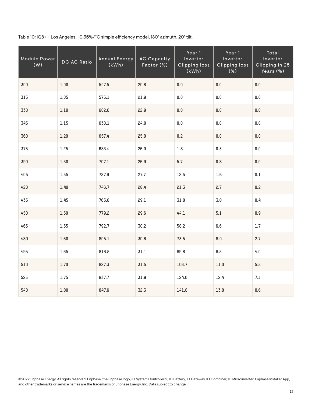Table 10: IQ8+ – Los Angeles, -0.35%/°C simple efficiency model, 180° azimuth, 20° tilt.

| Module Power<br>(W) | DC:AC Ratio | Annual Energy<br>(kWh) | <b>AC Capacity</b><br>Factor (%) | Year 1<br>Inverter<br><b>Clipping loss</b><br>(kWh) | Year 1<br>Inverter<br><b>Clipping loss</b><br>(%) | Total<br>Inverter<br>Clipping in 25<br>Years (%) |
|---------------------|-------------|------------------------|----------------------------------|-----------------------------------------------------|---------------------------------------------------|--------------------------------------------------|
| 300                 | $1.00\,$    | 547.5                  | 20.8                             | $0.0\,$                                             | $0.0\,$                                           | $0.0\,$                                          |
| 315                 | 1.05        | 575.1                  | 21.9                             | 0.0                                                 | $0.0\,$                                           | $0.0\,$                                          |
| 330                 | $1.10\,$    | 602.6                  | 22.9                             | 0.0                                                 | $0.0\,$                                           | 0.0                                              |
| 345                 | $1.15$      | 630.1                  | 24.0                             | $0.0\,$                                             | $0.0\,$                                           | $0.0\,$                                          |
| 360                 | 1.20        | 657.4                  | 25.0                             | 0.2                                                 | $0.0\,$                                           | $0.0\,$                                          |
| 375                 | 1.25        | 683.4                  | 26.0                             | $1.8\,$                                             | 0.3                                               | 0.0                                              |
| 390                 | 1.30        | 707.1                  | 26.9                             | 5.7                                                 | $0.8\,$                                           | $0.0\,$                                          |
| 405                 | 1.35        | 727.9                  | 27.7                             | 12.5                                                | 1.6                                               | 0.1                                              |
| 420                 | $1.40$      | 746.7                  | 28.4                             | 21.3                                                | 2.7                                               | 0.2                                              |
| 435                 | 1.45        | 763.8                  | 29.1                             | 31.8                                                | 3.8                                               | 0.4                                              |
| 450                 | 1.50        | 779.2                  | 29.6                             | 44.1                                                | 5.1                                               | 0.9                                              |
| 465                 | 1.55        | 792.7                  | 30.2                             | 58.2                                                | 6.6                                               | $1.7\,$                                          |
| 480                 | $1.60\,$    | 805.1                  | 30.6                             | 73.5                                                | $8.0\,$                                           | 2.7                                              |
| 495                 | 1.65        | 816.5                  | 31.1                             | 89.8                                                | 9.5                                               | 4.0                                              |
| 510                 | $1.70$      | 827.3                  | 31.5                             | 106.7                                               | $11.0\,$                                          | 5.5                                              |
| 525                 | 1.75        | 837.7                  | 31.9                             | 124.0                                               | 12.4                                              | $7.1\,$                                          |
| 540                 | 1.80        | 847.6                  | 32.3                             | 141.8                                               | 13.8                                              | 8.6                                              |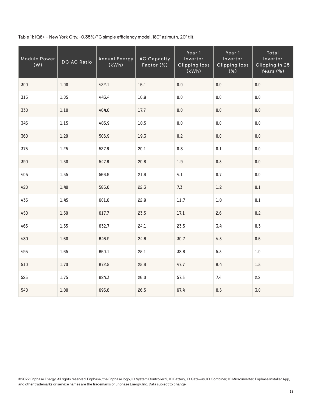Table 11: IQ8+ – New York City, -0.35%/°C simple efficiency model, 180° azimuth, 20° tilt.

| Module Power<br>(W) | <b>DC:AC Ratio</b> | <b>Annual Energy</b><br>(kWh) | <b>AC Capacity</b><br>Factor (%) | Year 1<br>Inverter<br><b>Clipping loss</b><br>(kWh) | Year 1<br>Inverter<br><b>Clipping loss</b><br>(%) | Total<br>Inverter<br>Clipping in 25<br>Years (%) |
|---------------------|--------------------|-------------------------------|----------------------------------|-----------------------------------------------------|---------------------------------------------------|--------------------------------------------------|
| 300                 | $1.00\,$           | 422.1                         | 16.1                             | $0.0\,$                                             | $0.0\,$                                           | $0.0\,$                                          |
| 315                 | 1.05               | 443.4                         | 16.9                             | $0.0\,$                                             | $0.0\,$                                           | $0.0\,$                                          |
| 330                 | $1.10\,$           | 464.6                         | 17.7                             | $0.0\,$                                             | $0.0\,$                                           | $0.0\,$                                          |
| 345                 | $1.15\,$           | 485.9                         | 18.5                             | $0.0\,$                                             | $0.0\,$                                           | 0.0                                              |
| 360                 | 1.20               | 506.9                         | 19.3                             | 0.2                                                 | $0.0\,$                                           | $0.0\,$                                          |
| 375                 | 1.25               | 527.6                         | 20.1                             | $0.8\,$                                             | 0.1                                               | $0.0\,$                                          |
| 390                 | 1.30               | 547.8                         | 20.8                             | $1.9\,$                                             | 0.3                                               | $0.0\,$                                          |
| 405                 | 1.35               | 566.9                         | 21.6                             | 4.1                                                 | 0.7                                               | 0.0                                              |
| 420                 | $1.40$             | 585.0                         | 22.3                             | 7.3                                                 | $1.2\,$                                           | $0.1\,$                                          |
| 435                 | 1.45               | 601.8                         | 22.9                             | 11.7                                                | 1.8                                               | $0.1\,$                                          |
| 450                 | 1.50               | 617.7                         | 23.5                             | 17.1                                                | 2.6                                               | 0.2                                              |
| 465                 | 1.55               | 632.7                         | 24.1                             | 23.5                                                | 3.4                                               | 0.3                                              |
| 480                 | $1.60\,$           | 646.9                         | 24.6                             | 30.7                                                | 4.3                                               | 0.6                                              |
| 495                 | 1.65               | 660.1                         | 25.1                             | 38.8                                                | 5.3                                               | $1.0\,$                                          |
| 510                 | $1.70$             | 672.5                         | 25.6                             | 47.7                                                | 6.4                                               | $1.5\,$                                          |
| 525                 | 1.75               | 684.3                         | 26.0                             | 57.3                                                | 7.4                                               | 2.2                                              |
| 540                 | 1.80               | 695.6                         | 26.5                             | 67.4                                                | 8.5                                               | $3.0$                                            |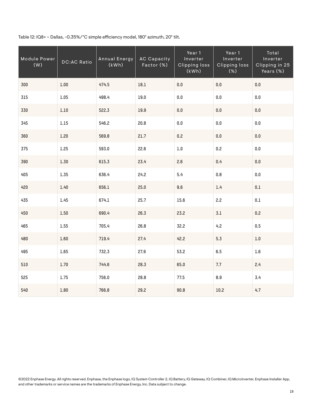Table 12: IQ8+ – Dallas, -0.35%/°C simple efficiency model, 180° azimuth, 20° tilt.

| Module Power<br>(W) | <b>DC:AC Ratio</b> | <b>Annual Energy</b><br>(kWh) | <b>AC Capacity</b><br>Factor (%) | Year 1<br>Inverter<br><b>Clipping loss</b><br>(kWh) | Year 1<br>Inverter<br><b>Clipping loss</b><br>(%) | Total<br>Inverter<br>Clipping in 25<br>Years (%) |
|---------------------|--------------------|-------------------------------|----------------------------------|-----------------------------------------------------|---------------------------------------------------|--------------------------------------------------|
| 300                 | $1.00\,$           | 474.5                         | 18.1                             | 0.0                                                 | $0.0\,$                                           | $0.0\,$                                          |
| 315                 | $1.05\,$           | 498.4                         | 19.0                             | $0.0\,$                                             | $0.0\,$                                           | $0.0\,$                                          |
| 330                 | $1.10$             | 522.3                         | 19.9                             | $0.0\,$                                             | $0.0\,$                                           | $0.0\,$                                          |
| 345                 | $1.15\,$           | 546.2                         | 20.8                             | 0.0                                                 | $0.0\,$                                           | 0.0                                              |
| 360                 | 1.20               | 569.8                         | 21.7                             | 0.2                                                 | $0.0\,$                                           | $0.0\,$                                          |
| 375                 | 1.25               | 593.0                         | 22.6                             | $1.0$                                               | 0.2                                               | 0.0                                              |
| 390                 | 1.30               | 615.3                         | 23.4                             | 2.6                                                 | 0.4                                               | $0.0\,$                                          |
| 405                 | 1.35               | 636.4                         | 24.2                             | 5.4                                                 | 0.8                                               | 0.0                                              |
| 420                 | $1.40$             | 656.1                         | 25.0                             | $9.6\,$                                             | $1.4\,$                                           | $0.1\,$                                          |
| 435                 | 1.45               | 674.1                         | 25.7                             | 15.6                                                | 2.2                                               | $0.1\,$                                          |
| 450                 | 1.50               | 690.4                         | 26.3                             | 23.2                                                | 3.1                                               | 0.2                                              |
| 465                 | 1.55               | 705.4                         | 26.8                             | 32.2                                                | 4.2                                               | 0.5                                              |
| 480                 | 1.60               | 719.4                         | 27.4                             | 42.2                                                | 5.3                                               | $1.0\,$                                          |
| 495                 | 1.65               | 732.3                         | 27.9                             | 53.2                                                | 6.5                                               | 1.6                                              |
| 510                 | $1.70$             | 744.6                         | 28.3                             | 65.0                                                | 7.7                                               | 2.4                                              |
| 525                 | 1.75               | 756.0                         | 28.8                             | 77.5                                                | 8.9                                               | 3.4                                              |
| 540                 | 1.80               | 766.8                         | 29.2                             | 90.8                                                | 10.2                                              | 4.7                                              |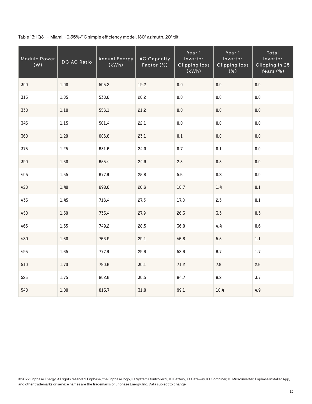Table 13: IQ8+ – Miami, -0.35%/°C simple efficiency model, 180° azimuth, 20° tilt.

| Module Power<br>(W) | <b>DC:AC Ratio</b> | <b>Annual Energy</b><br>(kWh) | <b>AC Capacity</b><br>Factor (%) | Year 1<br>Inverter<br><b>Clipping loss</b><br>(kWh) | Year 1<br>Inverter<br><b>Clipping loss</b><br>$(\%)$ | Total<br>Inverter<br>Clipping in 25<br>Years (%) |
|---------------------|--------------------|-------------------------------|----------------------------------|-----------------------------------------------------|------------------------------------------------------|--------------------------------------------------|
| 300                 | 1.00               | 505.2                         | 19.2                             | $0.0\,$                                             | $0.0\,$                                              | $0.0\,$                                          |
| 315                 | 1.05               | 530.6                         | 20.2                             | $0.0\,$                                             | $0.0\,$                                              | $0.0\,$                                          |
| 330                 | $1.10\,$           | 556.1                         | 21.2                             | $0.0\,$                                             | $0.0\,$                                              | $0.0\,$                                          |
| 345                 | $1.15\,$           | 581.4                         | 22.1                             | 0.0                                                 | $0.0\,$                                              | 0.0                                              |
| 360                 | 1.20               | 606.8                         | 23.1                             | $0.1\,$                                             | $0.0\,$                                              | $0.0\,$                                          |
| 375                 | 1.25               | 631.6                         | 24.0                             | 0.7                                                 | 0.1                                                  | 0.0                                              |
| 390                 | 1.30               | 655.4                         | 24.9                             | 2.3                                                 | 0.3                                                  | $0.0\,$                                          |
| 405                 | 1.35               | 677.6                         | 25.8                             | 5.6                                                 | 0.8                                                  | 0.0                                              |
| 420                 | 1.40               | 698.0                         | 26.6                             | $10.7\,$                                            | 1.4                                                  | $0.1\,$                                          |
| 435                 | 1.45               | 716.4                         | 27.3                             | 17.8                                                | 2.3                                                  | $0.1\,$                                          |
| 450                 | $1.50\,$           | 733.4                         | 27.9                             | 26.3                                                | 3.3                                                  | 0.3                                              |
| 465                 | 1.55               | 749.2                         | 28.5                             | 36.0                                                | 4.4                                                  | 0.6                                              |
| 480                 | 1.60               | 763.9                         | 29.1                             | 46.8                                                | 5.5                                                  | $1.1\,$                                          |
| 495                 | 1.65               | 777.6                         | 29.6                             | 58.6                                                | 6.7                                                  | $1.7\,$                                          |
| 510                 | 1.70               | 790.6                         | $30.1$                           | 71.2                                                | 7.9                                                  | 2.6                                              |
| 525                 | 1.75               | 802.6                         | 30.5                             | 84.7                                                | 9.2                                                  | 3.7                                              |
| 540                 | $1.80\,$           | 813.7                         | 31.0                             | 99.1                                                | 10.4                                                 | 4.9                                              |

©2022 Enphase Energy. All rights reserved. Enphase, the Enphase logo, IQ System Controller 2, IQ Battery, IQ Gateway, IQ Combiner, IQ Microinverter, Enphase Installer App, and other trademarks or service names are the trademarks of Enphase Energy, Inc. Data subject to change.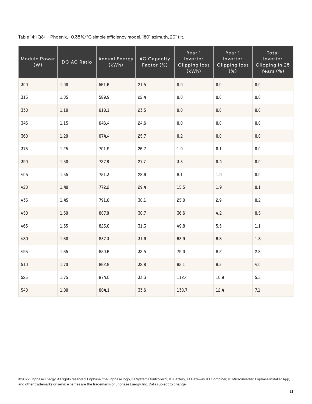Table 14: IQ8+ – Phoenix, -0.35%/°C simple efficiency model, 180° azimuth, 20° tilt.

| Module Power<br>(W) | <b>DC:AC Ratio</b> | <b>Annual Energy</b><br>(kWh) | <b>AC Capacity</b><br>Factor (%) | Year 1<br>Inverter<br><b>Clipping loss</b><br>(kWh) | Year 1<br>Inverter<br><b>Clipping loss</b><br>(%) | Total<br>Inverter<br>Clipping in 25<br>Years (%) |
|---------------------|--------------------|-------------------------------|----------------------------------|-----------------------------------------------------|---------------------------------------------------|--------------------------------------------------|
| 300                 | $1.00\,$           | 561.6                         | 21.4                             | $0.0\,$                                             | $0.0\,$                                           | $0.0\,$                                          |
| 315                 | 1.05               | 589.9                         | 22.4                             | $0.0\,$                                             | $0.0\,$                                           | $0.0\,$                                          |
| 330                 | $1.10\,$           | 618.1                         | 23.5                             | $0.0\,$                                             | $0.0\,$                                           | $0.0\,$                                          |
| 345                 | $1.15\,$           | 646.4                         | 24.6                             | $0.0\,$                                             | $0.0\,$                                           | $0.0\,$                                          |
| 360                 | 1.20               | 674.4                         | 25.7                             | 0.2                                                 | $0.0\,$                                           | $0.0\,$                                          |
| 375                 | 1.25               | 701.9                         | 26.7                             | $1.0\,$                                             | 0.1                                               | $0.0\,$                                          |
| 390                 | 1.30               | 727.8                         | 27.7                             | 3.3                                                 | 0.4                                               | $0.0\,$                                          |
| 405                 | 1.35               | 751.3                         | 28.6                             | 8.1                                                 | $1.0$                                             | $0.0\,$                                          |
| 420                 | $1.40$             | 772.2                         | 29.4                             | 15.5                                                | $1.9\,$                                           | $0.1\,$                                          |
| 435                 | 1.45               | 791.0                         | 30.1                             | 25.0                                                | 2.9                                               | 0.2                                              |
| 450                 | 1.50               | 807.9                         | 30.7                             | 36.6                                                | 4.2                                               | 0.5                                              |
| 465                 | 1.55               | 823.0                         | 31.3                             | 49.8                                                | 5.5                                               | $1.1\,$                                          |
| 480                 | $1.60\,$           | 837.3                         | 31.9                             | 63.9                                                | 6.8                                               | $1.8\,$                                          |
| 495                 | 1.65               | 850.6                         | 32.4                             | 79.0                                                | 8.2                                               | 2.8                                              |
| 510                 | $1.70$             | 862.9                         | 32.8                             | 95.1                                                | 9.5                                               | 4.0                                              |
| 525                 | 1.75               | 874.0                         | 33.3                             | 112.4                                               | 10.9                                              | 5.5                                              |
| 540                 | 1.80               | 884.1                         | 33.6                             | 130.7                                               | 12.4                                              | $7.1\,$                                          |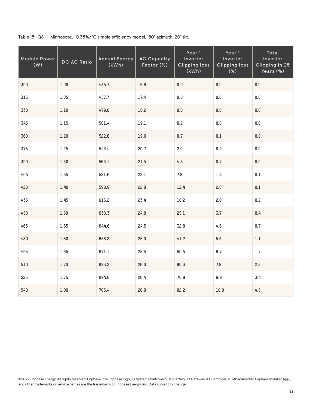Table 15: IQ8+ – Minnesota, -0.35%/°C simple efficiency model, 180° azimuth, 20° tilt.

| Module Power<br>(W) | <b>DC:AC Ratio</b> | <b>Annual Energy</b><br>(kWh) | <b>AC Capacity</b><br>Factor (%) | Year 1<br>Inverter<br><b>Clipping loss</b><br>(kWh) | Year 1<br>Inverter<br><b>Clipping loss</b><br>$(\%)$ | Total<br>Inverter<br>Clipping in 25<br>Years (%) |
|---------------------|--------------------|-------------------------------|----------------------------------|-----------------------------------------------------|------------------------------------------------------|--------------------------------------------------|
| 300                 | 1.00               | 435.7                         | 16.6                             | 0.0                                                 | $0.0\,$                                              | $0.0\,$                                          |
| 315                 | 1.05               | 457.7                         | 17.4                             | 0.0                                                 | $0.0\,$                                              | $0.0\,$                                          |
| 330                 | $1.10\,$           | 479.6                         | 18.2                             | $0.0\,$                                             | $0.0\,$                                              | $0.0\,$                                          |
| 345                 | $1.15\,$           | 501.4                         | $19.1\,$                         | 0.2                                                 | $0.0\,$                                              | 0.0                                              |
| 360                 | 1.20               | 522.8                         | 19.9                             | 0.7                                                 | $0.1\,$                                              | $0.0\,$                                          |
| 375                 | 1.25               | 543.4                         | 20.7                             | 2.0                                                 | 0.4                                                  | 0.0                                              |
| 390                 | 1.30               | 563.1                         | 21.4                             | 4.3                                                 | 0.7                                                  | $0.0\,$                                          |
| 405                 | 1.35               | 581.6                         | 22.1                             | 7.8                                                 | 1.3                                                  | 0.1                                              |
| 420                 | $1.40$             | 598.9                         | 22.8                             | 12.4                                                | 2.0                                                  | $0.1\,$                                          |
| 435                 | 1.45               | 615.2                         | 23.4                             | 18.2                                                | 2.8                                                  | 0.2                                              |
| 450                 | 1.50               | 630.3                         | 24.0                             | 25.1                                                | 3.7                                                  | 0.4                                              |
| 465                 | 1.55               | 644.6                         | 24.5                             | 32.8                                                | 4.6                                                  | 0.7                                              |
| 480                 | 1.60               | 658.2                         | 25.0                             | 41.2                                                | 5.6                                                  | $1.1\,$                                          |
| 495                 | 1.65               | 671.1                         | 25.5                             | 50.4                                                | 6.7                                                  | $1.7\,$                                          |
| 510                 | $1.70$             | 683.2                         | 26.0                             | 60.3                                                | $7.8\,$                                              | 2.5                                              |
| 525                 | 1.75               | 694.6                         | 26.4                             | 70.9                                                | 8.9                                                  | 3.4                                              |
| 540                 | 1.80               | 705.4                         | 26.8                             | 82.2                                                | $10.0$                                               | 4.5                                              |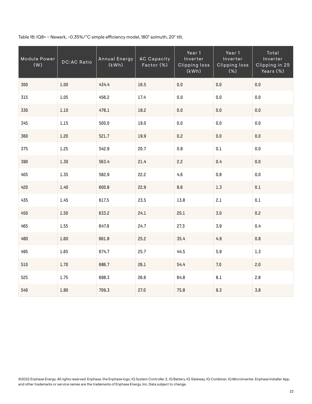Table 16: IQ8+ – Newark, -0.35%/°C simple efficiency model, 180° azimuth, 20° tilt.

| Module Power<br>(W) | <b>DC:AC Ratio</b> | <b>Annual Energy</b><br>(kWh) | <b>AC Capacity</b><br>Factor (%) | Year 1<br>Inverter<br><b>Clipping loss</b><br>(kWh) | Year 1<br>Inverter<br><b>Clipping loss</b><br>(%) | Total<br>Inverter<br>Clipping in 25<br>Years (%) |
|---------------------|--------------------|-------------------------------|----------------------------------|-----------------------------------------------------|---------------------------------------------------|--------------------------------------------------|
| 300                 | 1.00               | 434.4                         | 16.5                             | 0.0                                                 | $0.0\,$                                           | $0.0\,$                                          |
| 315                 | 1.05               | 456.2                         | 17.4                             | 0.0                                                 | $0.0\,$                                           | $0.0\,$                                          |
| 330                 | $1.10$             | 478.1                         | 18.2                             | $0.0\,$                                             | $0.0\,$                                           | $0.0\,$                                          |
| 345                 | $1.15\,$           | 500.0                         | 19.0                             | 0.0                                                 | $0.0\,$                                           | 0.0                                              |
| 360                 | 1.20               | 521.7                         | 19.9                             | 0.2                                                 | $0.0\,$                                           | $0.0\,$                                          |
| 375                 | 1.25               | 542.9                         | 20.7                             | 0.8                                                 | $0.1\,$                                           | 0.0                                              |
| 390                 | 1.30               | 563.4                         | 21.4                             | 2.2                                                 | 0.4                                               | $0.0\,$                                          |
| 405                 | 1.35               | 582.9                         | 22.2                             | 4.6                                                 | 0.8                                               | 0.0                                              |
| 420                 | 1.40               | 600.8                         | 22.9                             | 8.6                                                 | $1.3\,$                                           | $0.1\,$                                          |
| 435                 | 1.45               | 617.5                         | 23.5                             | 13.8                                                | 2.1                                               | $0.1\,$                                          |
| 450                 | 1.50               | 633.2                         | 24.1                             | 20.1                                                | $3.0$                                             | 0.2                                              |
| 465                 | 1.55               | 647.9                         | 24.7                             | 27.3                                                | 3.9                                               | 0.4                                              |
| 480                 | 1.60               | 661.8                         | 25.2                             | 35.4                                                | 4.9                                               | 0.8                                              |
| 495                 | 1.65               | 674.7                         | 25.7                             | 44.5                                                | 5.9                                               | 1.3                                              |
| 510                 | 1.70               | 686.7                         | 26.1                             | 54.4                                                | 7.0                                               | 2.0                                              |
| 525                 | 1.75               | 698.3                         | 26.6                             | 64.8                                                | $\rm 8.1$                                         | 2.8                                              |
| 540                 | $1.80\,$           | 709.3                         | 27.0                             | 75.8                                                | 9.3                                               | 3.8                                              |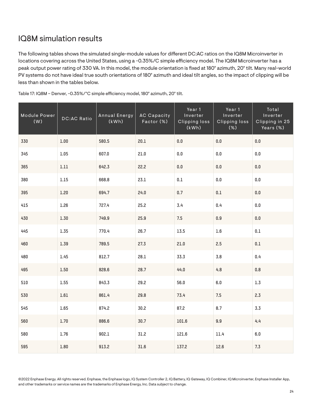# IQ8M simulation results

The following tables shows the simulated single-module values for different DC:AC ratios on the IQ8M Microinverter in locations covering across the United States, using a -0.35%/C simple efficiency model. The IQ8M Microinverter has a peak output power rating of 330 VA. In this model, the module orientation is fixed at 180° azimuth, 20° tilt. Many real-world PV systems do not have ideal true south orientations of 180° azimuth and ideal tilt angles, so the impact of clipping will be less than shown in the tables below.

| Module Power<br>(W) | <b>DC:AC Ratio</b> | <b>Annual Energy</b><br>(kWh) | <b>AC Capacity</b><br>Factor (%) | Year 1<br>Inverter<br><b>Clipping loss</b><br>(kWh) | Year 1<br>Inverter<br><b>Clipping loss</b><br>$\overline{(\%)}$ | Total<br>Inverter<br>Clipping in 25<br>Years (%) |
|---------------------|--------------------|-------------------------------|----------------------------------|-----------------------------------------------------|-----------------------------------------------------------------|--------------------------------------------------|
| 330                 | $1.00\,$           | 580.5                         | 20.1                             | $0.0\,$                                             | $0.0\,$                                                         | $0.0\,$                                          |
| 345                 | 1.05               | 607.0                         | 21.0                             | 0.0                                                 | $0.0\,$                                                         | 0.0                                              |
| 365                 | $1.11\,$           | 642.3                         | 22.2                             | $0.0\,$                                             | $0.0\,$                                                         | 0.0                                              |
| 380                 | $1.15$             | 668.8                         | 23.1                             | $0.1\,$                                             | $0.0\,$                                                         | $0.0\,$                                          |
| 395                 | 1.20               | 694.7                         | 24.0                             | 0.7                                                 | $0.1\,$                                                         | $0.0\,$                                          |
| 415                 | 1.26               | 727.4                         | 25.2                             | 3.4                                                 | 0.4                                                             | $0.0\,$                                          |
| 430                 | 1.30               | 749.9                         | 25.9                             | 7.5                                                 | $0.9\,$                                                         | $0.0\,$                                          |
| 445                 | 1.35               | 770.4                         | 26.7                             | 13.5                                                | 1.6                                                             | $0.1\,$                                          |
| 460                 | 1.39               | 789.5                         | 27.3                             | 21.0                                                | $2.5\,$                                                         | $0.1\,$                                          |
| 480                 | 1.45               | 812.7                         | 28.1                             | 33.3                                                | 3.8                                                             | 0.4                                              |
| 495                 | 1.50               | 828.6                         | 28.7                             | 44.0                                                | 4.8                                                             | $0.8\,$                                          |
| 510                 | 1.55               | 843.3                         | 29.2                             | 56.0                                                | $6.0\,$                                                         | 1.3                                              |
| 530                 | $1.61$             | 861.4                         | 29.8                             | 73.4                                                | 7.5                                                             | 2.3                                              |
| 545                 | 1.65               | 874.2                         | 30.2                             | 87.2                                                | 8.7                                                             | 3.3                                              |
| 560                 | 1.70               | 886.6                         | 30.7                             | 101.6                                               | 9.9                                                             | 4.4                                              |
| 580                 | 1.76               | 902.1                         | 31.2                             | 121.6                                               | 11.4                                                            | $6.0\,$                                          |
| 595                 | 1.80               | 913.2                         | 31.6                             | 137.2                                               | 12.6                                                            | 7.3                                              |

Table 17: IQ8M – Denver, -0.35%/°C simple efficiency model, 180° azimuth, 20° tilt.

©2022 Enphase Energy. All rights reserved. Enphase, the Enphase logo, IQ System Controller 2, IQ Battery, IQ Gateway, IQ Combiner, IQ Microinverter, Enphase Installer App, and other trademarks or service names are the trademarks of Enphase Energy, Inc. Data subject to change.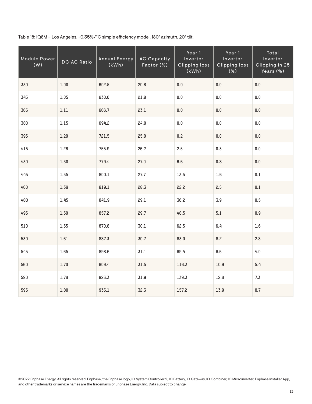Table 18: IQ8M – Los Angeles, -0.35%/°C simple efficiency model, 180° azimuth, 20° tilt.

| Module Power<br>(W) | <b>DC:AC Ratio</b> | Annual Energy<br>(kWh) | <b>AC Capacity</b><br>Factor (%) | Year 1<br>Inverter<br><b>Clipping loss</b><br>(kWh) | Year 1<br>Inverter<br><b>Clipping loss</b><br>(%) | Total<br>Inverter<br>Clipping in 25<br>Years (%) |
|---------------------|--------------------|------------------------|----------------------------------|-----------------------------------------------------|---------------------------------------------------|--------------------------------------------------|
| 330                 | $1.00\,$           | 602.5                  | 20.8                             | 0.0                                                 | $0.0\,$                                           | $0.0\,$                                          |
| 345                 | 1.05               | 630.0                  | 21.8                             | $0.0\,$                                             | $0.0\,$                                           | $0.0\,$                                          |
| 365                 | $1.11\,$           | 666.7                  | 23.1                             | 0.0                                                 | 0.0                                               | 0.0                                              |
| 380                 | $1.15$             | 694.2                  | 24.0                             | $0.0\,$                                             | $0.0\,$                                           | $0.0\,$                                          |
| 395                 | 1.20               | 721.5                  | 25.0                             | 0.2                                                 | $0.0\,$                                           | $0.0\,$                                          |
| 415                 | 1.26               | 755.9                  | 26.2                             | 2.5                                                 | 0.3                                               | 0.0                                              |
| 430                 | 1.30               | 779.4                  | 27.0                             | 6.6                                                 | $0.8\,$                                           | $0.0\,$                                          |
| 445                 | 1.35               | 800.1                  | 27.7                             | 13.5                                                | 1.6                                               | $0.1\,$                                          |
| 460                 | 1.39               | 819.1                  | 28.3                             | 22.2                                                | 2.5                                               | $0.1\,$                                          |
| 480                 | 1.45               | 841.9                  | 29.1                             | 36.2                                                | 3.9                                               | 0.5                                              |
| 495                 | 1.50               | 857.2                  | 29.7                             | 48.5                                                | 5.1                                               | 0.9                                              |
| 510                 | 1.55               | 870.8                  | 30.1                             | 62.5                                                | 6.4                                               | $1.6\,$                                          |
| 530                 | $1.61$             | 887.3                  | 30.7                             | 83.0                                                | 8.2                                               | 2.8                                              |
| 545                 | 1.65               | 898.6                  | 31.1                             | 99.4                                                | 9.6                                               | 4.0                                              |
| 560                 | $1.70$             | 909.4                  | 31.5                             | 116.3                                               | 10.9                                              | 5.4                                              |
| 580                 | 1.76               | 923.3                  | 31.9                             | 139.3                                               | 12.6                                              | 7.3                                              |
| 595                 | 1.80               | 933.1                  | 32.3                             | 157.2                                               | 13.9                                              | 8.7                                              |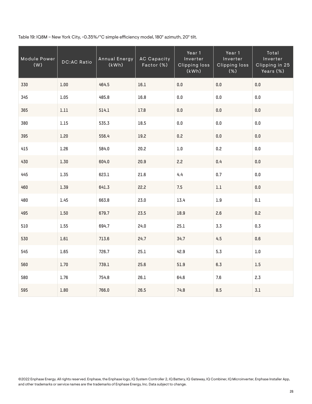Table 19: IQ8M – New York City, -0.35%/°C simple efficiency model, 180° azimuth, 20° tilt.

| Module Power<br>(W) | <b>DC:AC Ratio</b> | <b>Annual Energy</b><br>(kWh) | <b>AC Capacity</b><br>Factor (%) | Year 1<br>Inverter<br><b>Clipping loss</b><br>(kWh) | Year 1<br>Inverter<br><b>Clipping loss</b><br>(%) | Total<br>Inverter<br>Clipping in 25<br>Years (%) |
|---------------------|--------------------|-------------------------------|----------------------------------|-----------------------------------------------------|---------------------------------------------------|--------------------------------------------------|
| 330                 | 1.00               | 464.5                         | 16.1                             | 0.0                                                 | 0.0                                               | $0.0\,$                                          |
| 345                 | 1.05               | 485.8                         | 16.8                             | $0.0\,$                                             | $0.0\,$                                           | 0.0                                              |
| 365                 | $1.11\,$           | 514.1                         | 17.8                             | $0.0\,$                                             | $0.0\,$                                           | $0.0\,$                                          |
| 380                 | $1.15$             | 535.3                         | 18.5                             | $0.0\,$                                             | $0.0\,$                                           | $0.0\,$                                          |
| 395                 | 1.20               | 556.4                         | 19.2                             | 0.2                                                 | $0.0\,$                                           | $0.0\,$                                          |
| 415                 | 1.26               | 584.0                         | 20.2                             | $1.0\,$                                             | 0.2                                               | 0.0                                              |
| 430                 | 1.30               | 604.0                         | 20.9                             | 2.2                                                 | 0.4                                               | $0.0\,$                                          |
| 445                 | 1.35               | 623.1                         | 21.6                             | 4.4                                                 | 0.7                                               | $0.0\,$                                          |
| 460                 | 1.39               | 641.3                         | 22.2                             | $7.5\,$                                             | $1.1\,$                                           | $0.0\,$                                          |
| 480                 | 1.45               | 663.8                         | 23.0                             | 13.4                                                | $1.9\,$                                           | $0.1\,$                                          |
| 495                 | 1.50               | 679.7                         | 23.5                             | 18.9                                                | 2.6                                               | 0.2                                              |
| 510                 | 1.55               | 694.7                         | 24.0                             | 25.1                                                | 3.3                                               | 0.3                                              |
| 530                 | $1.61$             | 713.6                         | 24.7                             | 34.7                                                | 4.5                                               | 0.6                                              |
| 545                 | 1.65               | 726.7                         | 25.1                             | 42.9                                                | 5.3                                               | $1.0\,$                                          |
| 560                 | 1.70               | 739.1                         | 25.6                             | 51.9                                                | 6.3                                               | $1.5\,$                                          |
| 580                 | 1.76               | 754.8                         | 26.1                             | 64.6                                                | 7.6                                               | 2.3                                              |
| 595                 | 1.80               | 766.0                         | 26.5                             | 74.8                                                | 8.5                                               | 3.1                                              |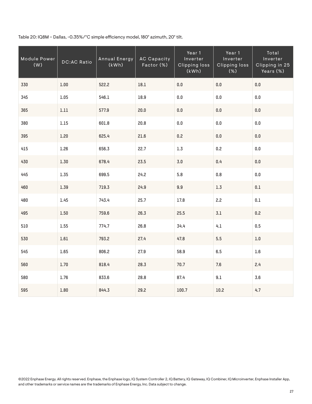Table 20: IQ8M – Dallas, -0.35%/°C simple efficiency model, 180° azimuth, 20° tilt.

| Module Power<br>(W) | <b>DC:AC Ratio</b> | <b>Annual Energy</b><br>(kWh) | <b>AC Capacity</b><br>Factor (%) | Year 1<br>Inverter<br><b>Clipping loss</b><br>(kWh) | Year 1<br>Inverter<br><b>Clipping loss</b><br>(%) | Total<br>Inverter<br>Clipping in 25<br>Years (%) |
|---------------------|--------------------|-------------------------------|----------------------------------|-----------------------------------------------------|---------------------------------------------------|--------------------------------------------------|
| 330                 | 1.00               | 522.2                         | 18.1                             | $0.0\,$                                             | $0.0\,$                                           | $0.0\,$                                          |
| 345                 | 1.05               | 546.1                         | 18.9                             | $0.0\,$                                             | $0.0\,$                                           | $0.0\,$                                          |
| 365                 | $1.11\,$           | 577.9                         | 20.0                             | $0.0\,$                                             | $0.0\,$                                           | $0.0\,$                                          |
| 380                 | $1.15\,$           | 601.8                         | 20.8                             | $0.0\,$                                             | $0.0\,$                                           | 0.0                                              |
| 395                 | 1.20               | 625.4                         | 21.6                             | 0.2                                                 | $0.0\,$                                           | $0.0\,$                                          |
| 415                 | 1.26               | 656.3                         | 22.7                             | 1.3                                                 | 0.2                                               | $0.0\,$                                          |
| 430                 | 1.30               | 678.4                         | 23.5                             | $3.0$                                               | 0.4                                               | $0.0\,$                                          |
| 445                 | 1.35               | 699.5                         | 24.2                             | 5.8                                                 | 0.8                                               | $0.0\,$                                          |
| 460                 | 1.39               | 719.3                         | 24.9                             | 9.9                                                 | $1.3\,$                                           | $0.1\,$                                          |
| 480                 | 1.45               | 743.4                         | 25.7                             | 17.8                                                | 2.2                                               | $0.1\,$                                          |
| 495                 | 1.50               | 759.6                         | 26.3                             | 25.5                                                | $3.1\,$                                           | 0.2                                              |
| 510                 | 1.55               | 774.7                         | 26.8                             | 34.4                                                | 4.1                                               | 0.5                                              |
| 530                 | $1.61$             | 793.2                         | 27.4                             | 47.8                                                | 5.5                                               | $1.0\,$                                          |
| 545                 | 1.65               | 806.2                         | 27.9                             | 58.9                                                | 6.5                                               | $1.6\,$                                          |
| 560                 | $1.70$             | 818.4                         | 28.3                             | 70.7                                                | 7.6                                               | 2.4                                              |
| 580                 | 1.76               | 833.6                         | 28.8                             | 87.4                                                | 9.1                                               | 3.6                                              |
| 595                 | 1.80               | 844.3                         | 29.2                             | 100.7                                               | 10.2                                              | 4.7                                              |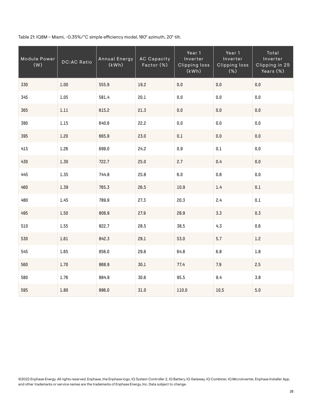Table 21: IQ8M – Miami, -0.35%/°C simple efficiency model, 180° azimuth, 20° tilt.

| Module Power<br>(W) | <b>DC:AC Ratio</b> | <b>Annual Energy</b><br>(kWh) | <b>AC Capacity</b><br>Factor (%) | Year 1<br>Inverter<br><b>Clipping loss</b><br>(kWh) | Year 1<br>Inverter<br><b>Clipping loss</b><br>$(\%)$ | Total<br>Inverter<br>Clipping in 25<br>Years (%) |
|---------------------|--------------------|-------------------------------|----------------------------------|-----------------------------------------------------|------------------------------------------------------|--------------------------------------------------|
| 330                 | 1.00               | 555.9                         | 19.2                             | 0.0                                                 | $0.0\,$                                              | $0.0\,$                                          |
| 345                 | 1.05               | 581.4                         | 20.1                             | 0.0                                                 | $0.0\,$                                              | $0.0\,$                                          |
| 365                 | $1.11\,$           | 615.2                         | 21.3                             | $0.0\,$                                             | $0.0\,$                                              | $0.0\,$                                          |
| 380                 | $1.15\,$           | 640.6                         | 22.2                             | 0.0                                                 | $0.0\,$                                              | $0.0\,$                                          |
| 395                 | 1.20               | 665.9                         | 23.0                             | 0.1                                                 | $0.0\,$                                              | $0.0\,$                                          |
| 415                 | 1.26               | 699.0                         | 24.2                             | 0.9                                                 | 0.1                                                  | 0.0                                              |
| 430                 | 1.30               | 722.7                         | 25.0                             | 2.7                                                 | 0.4                                                  | $0.0\,$                                          |
| 445                 | 1.35               | 744.8                         | 25.8                             | 6.0                                                 | 0.8                                                  | 0.0                                              |
| 460                 | 1.39               | 765.3                         | 26.5                             | 10.9                                                | 1.4                                                  | $0.1\,$                                          |
| 480                 | 1.45               | 789.9                         | 27.3                             | 20.3                                                | 2.4                                                  | $0.1\,$                                          |
| 495                 | 1.50               | 806.9                         | 27.9                             | 28.9                                                | 3.3                                                  | 0.3                                              |
| 510                 | 1.55               | 822.7                         | 28.5                             | 38.5                                                | 4.3                                                  | 0.6                                              |
| 530                 | $1.61$             | 842.3                         | 29.1                             | 53.0                                                | 5.7                                                  | 1.2                                              |
| 545                 | 1.65               | 856.0                         | 29.6                             | 64.8                                                | 6.8                                                  | $1.8\,$                                          |
| 560                 | $1.70$             | 868.9                         | 30.1                             | 77.4                                                | $7.9\,$                                              | 2.5                                              |
| 580                 | 1.76               | 884.9                         | 30.6                             | 95.5                                                | 9.4                                                  | 3.8                                              |
| 595                 | 1.80               | 896.0                         | 31.0                             | 110.0                                               | 10.5                                                 | $5.0$                                            |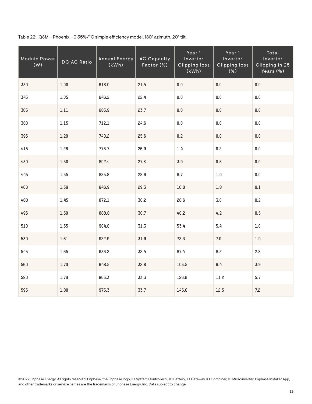Table 22: IQ8M – Phoenix, -0.35%/°C simple efficiency model, 180° azimuth, 20° tilt.

| Module Power<br>(W) | <b>DC:AC Ratio</b> | <b>Annual Energy</b><br>(kWh) | <b>AC Capacity</b><br>Factor (%) | Year 1<br>Inverter<br><b>Clipping loss</b><br>(kWh) | Year 1<br>Inverter<br><b>Clipping loss</b><br>(%) | Total<br>Inverter<br>Clipping in 25<br>Years (%) |
|---------------------|--------------------|-------------------------------|----------------------------------|-----------------------------------------------------|---------------------------------------------------|--------------------------------------------------|
| 330                 | 1.00               | 618.0                         | 21.4                             | $0.0\,$                                             | $0.0\,$                                           | $0.0\,$                                          |
| 345                 | 1.05               | 646.2                         | 22.4                             | 0.0                                                 | $0.0\,$                                           | $0.0\,$                                          |
| 365                 | $1.11\,$           | 683.9                         | 23.7                             | $0.0\,$                                             | $0.0\,$                                           | $0.0\,$                                          |
| 380                 | $1.15\,$           | 712.1                         | 24.6                             | 0.0                                                 | $0.0\,$                                           | 0.0                                              |
| 395                 | 1.20               | 740.2                         | 25.6                             | 0.2                                                 | $0.0\,$                                           | $0.0\,$                                          |
| 415                 | 1.26               | 776.7                         | 26.9                             | 1.4                                                 | 0.2                                               | 0.0                                              |
| 430                 | 1.30               | 802.4                         | 27.8                             | $3.9$                                               | 0.5                                               | $0.0\,$                                          |
| 445                 | 1.35               | 825.8                         | 28.6                             | 8.7                                                 | 1.0                                               | 0.0                                              |
| 460                 | 1.39               | 846.9                         | 29.3                             | 16.0                                                | $1.8\,$                                           | $0.1\,$                                          |
| 480                 | 1.45               | 872.1                         | 30.2                             | 28.6                                                | $3.0$                                             | 0.2                                              |
| 495                 | 1.50               | 888.8                         | 30.7                             | 40.2                                                | 4.2                                               | 0.5                                              |
| 510                 | 1.55               | 904.0                         | 31.3                             | 53.4                                                | 5.4                                               | $1.0\,$                                          |
| 530                 | $1.61$             | 922.9                         | 31.9                             | 72.3                                                | 7.0                                               | $1.9\,$                                          |
| 545                 | 1.65               | 936.2                         | 32.4                             | 87.4                                                | 8.2                                               | 2.8                                              |
| 560                 | $1.70$             | 948.5                         | 32.8                             | 103.5                                               | 9.4                                               | 3.9                                              |
| 580                 | 1.76               | 963.3                         | 33.3                             | 126.6                                               | 11.2                                              | 5.7                                              |
| 595                 | 1.80               | 973.3                         | 33.7                             | 145.0                                               | 12.5                                              | 7.2                                              |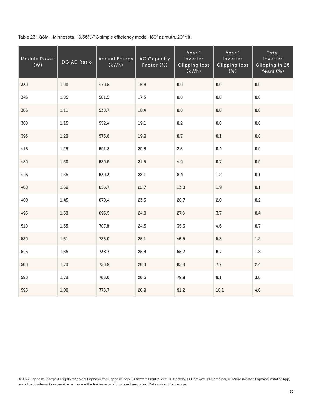Table 23: IQ8M – Minnesota, -0.35%/°C simple efficiency model, 180° azimuth, 20° tilt.

| Module Power<br>(W) | <b>DC:AC Ratio</b> | <b>Annual Energy</b><br>(kWh) | <b>AC Capacity</b><br>Factor (%) | Year 1<br>Inverter<br><b>Clipping loss</b><br>(kWh) | Year 1<br>Inverter<br><b>Clipping loss</b><br>$\overline{(\%)}$ | Total<br>Inverter<br>Clipping in 25<br>Years (%) |
|---------------------|--------------------|-------------------------------|----------------------------------|-----------------------------------------------------|-----------------------------------------------------------------|--------------------------------------------------|
| 330                 | 1.00               | 479.5                         | 16.6                             | 0.0                                                 | $0.0\,$                                                         | $0.0\,$                                          |
| 345                 | 1.05               | 501.5                         | 17.3                             | 0.0                                                 | $0.0\,$                                                         | $0.0\,$                                          |
| 365                 | $1.11\,$           | 530.7                         | 18.4                             | $0.0\,$                                             | $0.0\,$                                                         | $0.0\,$                                          |
| 380                 | $1.15\,$           | 552.4                         | 19.1                             | 0.2                                                 | $0.0\,$                                                         | 0.0                                              |
| 395                 | 1.20               | 573.8                         | 19.9                             | 0.7                                                 | $0.1\,$                                                         | $0.0\,$                                          |
| 415                 | 1.26               | 601.3                         | 20.8                             | 2.5                                                 | 0.4                                                             | 0.0                                              |
| 430                 | 1.30               | 620.9                         | 21.5                             | 4.9                                                 | 0.7                                                             | $0.0\,$                                          |
| 445                 | 1.35               | 639.3                         | 22.1                             | 8.4                                                 | 1.2                                                             | 0.1                                              |
| 460                 | 1.39               | 656.7                         | 22.7                             | 13.0                                                | $1.9\,$                                                         | $0.1\,$                                          |
| 480                 | 1.45               | 678.4                         | 23.5                             | 20.7                                                | 2.8                                                             | 0.2                                              |
| 495                 | 1.50               | 693.5                         | 24.0                             | 27.6                                                | 3.7                                                             | 0.4                                              |
| 510                 | 1.55               | 707.8                         | 24.5                             | 35.3                                                | 4.6                                                             | 0.7                                              |
| 530                 | $1.61$             | 726.0                         | 25.1                             | 46.5                                                | 5.8                                                             | 1.2                                              |
| 545                 | 1.65               | 738.7                         | 25.6                             | 55.7                                                | 6.7                                                             | $1.8\,$                                          |
| 560                 | 1.70               | 750.9                         | 26.0                             | 65.6                                                | 7.7                                                             | 2.4                                              |
| 580                 | $1.76\,$           | 766.0                         | 26.5                             | 79.9                                                | 9.1                                                             | 3.6                                              |
| 595                 | $1.80\,$           | 776.7                         | 26.9                             | 91.2                                                | $10.1\,$                                                        | 4.6                                              |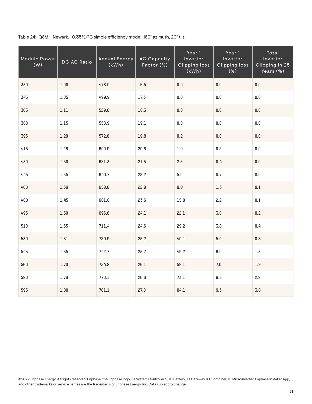Table 24: IQ8M – Newark, -0.35%/°C simple efficiency model, 180° azimuth, 20° tilt.

| Module Power<br>(W) | <b>DC:AC Ratio</b> | <b>Annual Energy</b><br>(kWh) | <b>AC Capacity</b><br>Factor (%) | Year 1<br>Inverter<br><b>Clipping loss</b><br>(kWh) | Year 1<br>Inverter<br><b>Clipping loss</b><br>$(\%)$ | Total<br>Inverter<br>Clipping in 25<br>Years (%) |
|---------------------|--------------------|-------------------------------|----------------------------------|-----------------------------------------------------|------------------------------------------------------|--------------------------------------------------|
| 330                 | $1.00\,$           | 478.0                         | 16.5                             | $0.0\,$                                             | $0.0\,$                                              | $0.0\,$                                          |
| 345                 | 1.05               | 499.9                         | 17.3                             | $0.0\,$                                             | $0.0\,$                                              | $0.0\,$                                          |
| 365                 | $1.11\,$           | 529.0                         | 18.3                             | $0.0\,$                                             | $0.0\,$                                              | $0.0\,$                                          |
| 380                 | $1.15$             | 550.9                         | $19.1\,$                         | $0.0\,$                                             | $0.0\,$                                              | $0.0\,$                                          |
| 395                 | 1.20               | 572.6                         | 19.8                             | 0.2                                                 | $0.0\,$                                              | $0.0\,$                                          |
| 415                 | 1.26               | 600.9                         | 20.8                             | $1.0\,$                                             | 0.2                                                  | $0.0\,$                                          |
| 430                 | 1.30               | 621.3                         | 21.5                             | 2.5                                                 | 0.4                                                  | $0.0\,$                                          |
| 445                 | 1.35               | 640.7                         | 22.2                             | 5.0                                                 | 0.7                                                  | 0.0                                              |
| 460                 | 1.39               | 658.8                         | 22.8                             | $8.8\,$                                             | $1.3\,$                                              | $0.1\,$                                          |
| 480                 | 1.45               | 681.0                         | 23.6                             | 15.8                                                | 2.2                                                  | $0.1\,$                                          |
| 495                 | 1.50               | 696.6                         | 24.1                             | 22.1                                                | $3.0\,$                                              | 0.2                                              |
| 510                 | 1.55               | 711.4                         | 24.6                             | 29.2                                                | $3.8\,$                                              | 0.4                                              |
| 530                 | 1.61               | 729.9                         | 25.2                             | 40.1                                                | 5.0                                                  | 0.8                                              |
| 545                 | 1.65               | 742.7                         | 25.7                             | 49.2                                                | $6.0\,$                                              | 1.3                                              |
| 560                 | 1.70               | 754.8                         | 26.1                             | 59.1                                                | 7.0                                                  | $1.9\,$                                          |
| 580                 | $1.76\,$           | 770.1                         | 26.6                             | 73.1                                                | 8.3                                                  | 2.9                                              |
| 595                 | $1.80\,$           | 781.1                         | 27.0                             | 84.1                                                | 9.3                                                  | 3.8                                              |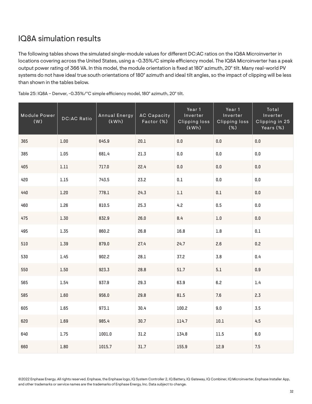# IQ8A simulation results

The following tables shows the simulated single-module values for different DC:AC ratios on the IQ8A Microinverter in locations covering across the United States, using a -0.35%/C simple efficiency model. The IQ8A Microinverter has a peak output power rating of 366 VA. In this model, the module orientation is fixed at 180° azimuth, 20° tilt. Many real-world PV systems do not have ideal true south orientations of 180° azimuth and ideal tilt angles, so the impact of clipping will be less than shown in the tables below.

| Module Power<br>(W) | <b>DC:AC Ratio</b> | Annual Energy<br>(kWh) | <b>AC Capacity</b><br>Factor (%) | Year 1<br>Inverter<br><b>Clipping loss</b><br>(kWh) | Year 1<br>Inverter<br><b>Clipping loss</b><br>(%) | Total<br>Inverter<br>Clipping in 25<br>Years (%) |
|---------------------|--------------------|------------------------|----------------------------------|-----------------------------------------------------|---------------------------------------------------|--------------------------------------------------|
| 365                 | $1.00\,$           | 645.9                  | 20.1                             | $0.0\,$                                             | $0.0\,$                                           | 0.0                                              |
| 385                 | 1.05               | 681.4                  | 21.3                             | 0.0                                                 | $0.0\,$                                           | $0.0\,$                                          |
| 405                 | $1.11\,$           | 717.0                  | 22.4                             | $0.0\,$                                             | $0.0\,$                                           | $0.0\,$                                          |
| 420                 | $1.15\,$           | 743.5                  | 23.2                             | $0.1\,$                                             | $0.0\,$                                           | $0.0\,$                                          |
| 440                 | 1.20               | 778.1                  | 24.3                             | $1.1\,$                                             | $0.1\,$                                           | $0.0\,$                                          |
| 460                 | 1.26               | 810.5                  | 25.3                             | 4.2                                                 | 0.5                                               | $0.0\,$                                          |
| 475                 | 1.30               | 832.9                  | 26.0                             | 8.4                                                 | $1.0\,$                                           | $0.0\,$                                          |
| 495                 | 1.35               | 860.2                  | 26.8                             | 16.8                                                | $1.8\,$                                           | 0.1                                              |
| 510                 | 1.39               | 879.0                  | 27.4                             | 24.7                                                | 2.6                                               | 0.2                                              |
| 530                 | 1.45               | 902.2                  | 28.1                             | 37.2                                                | 3.8                                               | 0.4                                              |
| 550                 | 1.50               | 923.3                  | 28.8                             | 51.7                                                | 5.1                                               | 0.9                                              |
| 565                 | 1.54               | 937.9                  | 29.3                             | 63.9                                                | 6.2                                               | 1.4                                              |
| 585                 | $1.60\,$           | 956.0                  | 29.8                             | 81.5                                                | 7.6                                               | 2.3                                              |
| 605                 | 1.65               | 973.1                  | 30.4                             | 100.2                                               | 9.0                                               | 3.5                                              |
| 620                 | 1.69               | 985.4                  | 30.7                             | 114.7                                               | $10.1\,$                                          | 4.5                                              |
| 640                 | 1.75               | 1001.0                 | 31.2                             | 134.8                                               | $11.5\,$                                          | $6.0\,$                                          |
| 660                 | $1.80\,$           | 1015.7                 | 31.7                             | 155.9                                               | 12.9                                              | 7.5                                              |

Table 25: IQ8A – Denver, -0.35%/°C simple efficiency model, 180° azimuth, 20° tilt.

©2022 Enphase Energy. All rights reserved. Enphase, the Enphase logo, IQ System Controller 2, IQ Battery, IQ Gateway, IQ Combiner, IQ Microinverter, Enphase Installer App, and other trademarks or service names are the trademarks of Enphase Energy, Inc. Data subject to change.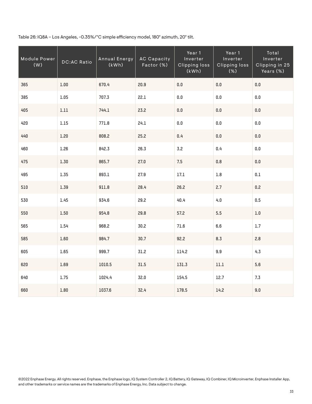Table 26: IQ8A – Los Angeles, -0.35%/°C simple efficiency model, 180° azimuth, 20° tilt.

| Module Power<br>(W) | <b>DC:AC Ratio</b> | <b>Annual Energy</b><br>(kWh) | <b>AC Capacity</b><br>Factor (%) | Year 1<br>Inverter<br><b>Clipping loss</b><br>(kWh) | Year 1<br>Inverter<br><b>Clipping loss</b><br>(%) | Total<br>Inverter<br>Clipping in 25<br>Years (%) |
|---------------------|--------------------|-------------------------------|----------------------------------|-----------------------------------------------------|---------------------------------------------------|--------------------------------------------------|
| 365                 | $1.00\,$           | 670.4                         | 20.9                             | $0.0\,$                                             | $0.0\,$                                           | $0.0\,$                                          |
| 385                 | 1.05               | 707.3                         | 22.1                             | 0.0                                                 | 0.0                                               | 0.0                                              |
| 405                 | $1.11\,$           | 744.1                         | 23.2                             | $0.0\,$                                             | $0.0\,$                                           | $0.0\,$                                          |
| 420                 | $1.15$             | 771.8                         | 24.1                             | $0.0\,$                                             | $0.0\,$                                           | $0.0\,$                                          |
| 440                 | 1.20               | 808.2                         | 25.2                             | 0.4                                                 | $0.0\,$                                           | $0.0\,$                                          |
| 460                 | 1.26               | 842.3                         | 26.3                             | 3.2                                                 | 0.4                                               | 0.0                                              |
| 475                 | 1.30               | 865.7                         | 27.0                             | 7.5                                                 | $0.8\,$                                           | 0.0                                              |
| 495                 | 1.35               | 893.1                         | 27.9                             | 17.1                                                | 1.8                                               | 0.1                                              |
| 510                 | 1.39               | 911.8                         | 28.4                             | 26.2                                                | 2.7                                               | 0.2                                              |
| 530                 | 1.45               | 934.6                         | 29.2                             | 40.4                                                | $4.0\,$                                           | 0.5                                              |
| 550                 | 1.50               | 954.8                         | 29.8                             | 57.2                                                | 5.5                                               | $1.0\,$                                          |
| 565                 | 1.54               | 968.2                         | 30.2                             | 71.6                                                | 6.6                                               | $1.7\,$                                          |
| 585                 | $1.60\,$           | 984.7                         | 30.7                             | 92.2                                                | 8.3                                               | 2.8                                              |
| 605                 | 1.65               | 999.7                         | 31.2                             | 114.2                                               | 9.9                                               | 4.3                                              |
| 620                 | 1.69               | 1010.5                        | 31.5                             | 131.3                                               | $11.1\,$                                          | 5.6                                              |
| 640                 | 1.75               | 1024.4                        | 32.0                             | 154.5                                               | 12.7                                              | 7.3                                              |
| 660                 | 1.80               | 1037.6                        | 32.4                             | 178.5                                               | 14.2                                              | $9.0\,$                                          |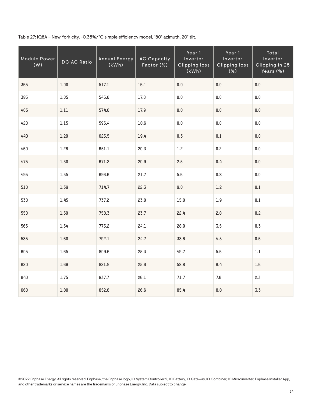Table 27: IQ8A – New York city, -0.35%/°C simple efficiency model, 180° azimuth, 20° tilt.

| Module Power<br>(W) | <b>DC:AC Ratio</b> | Annual Energy<br>(kWh) | <b>AC Capacity</b><br>Factor (%) | Year 1<br>Inverter<br><b>Clipping loss</b><br>(kWh) | Year 1<br>Inverter<br><b>Clipping loss</b><br>(%) | Total<br>Inverter<br>Clipping in 25<br>Years (%) |
|---------------------|--------------------|------------------------|----------------------------------|-----------------------------------------------------|---------------------------------------------------|--------------------------------------------------|
| 365                 | $1.00\,$           | 517.1                  | 16.1                             | 0.0                                                 | $0.0\,$                                           | $0.0\,$                                          |
| 385                 | 1.05               | 545.6                  | 17.0                             | $0.0\,$                                             | $0.0\,$                                           | $0.0\,$                                          |
| 405                 | $1.11\,$           | 574.0                  | 17.9                             | $0.0\,$                                             | $0.0\,$                                           | $0.0\,$                                          |
| 420                 | 1.15               | 595.4                  | 18.6                             | $0.0\,$                                             | 0.0                                               | $0.0\,$                                          |
| 440                 | 1.20               | 623.5                  | 19.4                             | 0.3                                                 | $0.1\,$                                           | $0.0\,$                                          |
| 460                 | 1.26               | 651.1                  | 20.3                             | 1.2                                                 | 0.2                                               | $0.0\,$                                          |
| 475                 | 1.30               | 671.2                  | 20.9                             | 2.5                                                 | 0.4                                               | $0.0\,$                                          |
| 495                 | 1.35               | 696.6                  | 21.7                             | 5.6                                                 | 0.8                                               | $0.0\,$                                          |
| 510                 | 1.39               | 714.7                  | 22.3                             | 9.0                                                 | $1.2\,$                                           | $0.1\,$                                          |
| 530                 | 1.45               | 737.2                  | 23.0                             | 15.0                                                | $1.9\,$                                           | $0.1\,$                                          |
| 550                 | 1.50               | 758.3                  | 23.7                             | 22.4                                                | 2.8                                               | 0.2                                              |
| 565                 | 1.54               | 773.2                  | 24.1                             | 28.9                                                | 3.5                                               | 0.3                                              |
| 585                 | $1.60\,$           | 792.1                  | 24.7                             | 38.6                                                | 4.5                                               | 0.6                                              |
| 605                 | 1.65               | 809.6                  | 25.3                             | 49.7                                                | 5.6                                               | $1.1\,$                                          |
| 620                 | 1.69               | 821.9                  | 25.6                             | 58.8                                                | 6.4                                               | $1.6\,$                                          |
| 640                 | 1.75               | 837.7                  | 26.1                             | 71.7                                                | 7.6                                               | 2.3                                              |
| 660                 | 1.80               | 852.6                  | 26.6                             | 85.4                                                | 8.8                                               | 3.3                                              |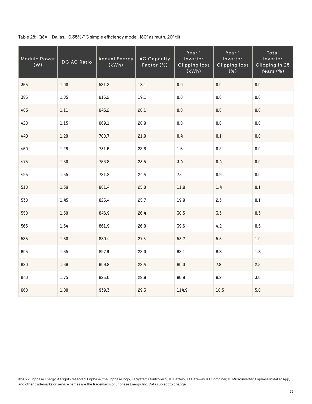Table 28: IQ8A – Dallas, -0.35%/°C simple efficiency model, 180° azimuth, 20° tilt.

| Module Power<br>(W) | <b>DC:AC Ratio</b> | <b>Annual Energy</b><br>(kWh) | <b>AC Capacity</b><br>Factor (%) | Year 1<br>Inverter<br><b>Clipping loss</b><br>(kWh) | Year 1<br>Inverter<br><b>Clipping loss</b><br>(%) | Total<br>Inverter<br>Clipping in 25<br>Years (%) |
|---------------------|--------------------|-------------------------------|----------------------------------|-----------------------------------------------------|---------------------------------------------------|--------------------------------------------------|
| 365                 | $1.00\,$           | 581.2                         | 18.1                             | 0.0                                                 | $0.0\,$                                           | $0.0\,$                                          |
| 385                 | 1.05               | 613.2                         | 19.1                             | $0.0\,$                                             | $0.0\,$                                           | $0.0\,$                                          |
| 405                 | $1.11\,$           | 645.2                         | 20.1                             | $0.0\,$                                             | 0.0                                               | 0.0                                              |
| 420                 | $1.15$             | 669.1                         | 20.9                             | 0.0                                                 | $0.0\,$                                           | 0.0                                              |
| 440                 | 1.20               | 700.7                         | 21.9                             | 0.4                                                 | $0.1\,$                                           | $0.0\,$                                          |
| 460                 | 1.26               | 731.6                         | 22.8                             | 1.6                                                 | 0.2                                               | 0.0                                              |
| 475                 | 1.30               | 753.8                         | 23.5                             | 3.4                                                 | 0.4                                               | $0.0\,$                                          |
| 495                 | 1.35               | 781.8                         | 24.4                             | 7.4                                                 | 0.9                                               | 0.0                                              |
| 510                 | 1.39               | 801.4                         | 25.0                             | $11.8\,$                                            | 1.4                                               | $0.1\,$                                          |
| 530                 | 1.45               | 825.4                         | 25.7                             | 19.9                                                | 2.3                                               | $0.1\,$                                          |
| 550                 | 1.50               | 846.9                         | 26.4                             | 30.5                                                | 3.3                                               | 0.3                                              |
| 565                 | 1.54               | 861.9                         | 26.9                             | 39.6                                                | 4.2                                               | 0.5                                              |
| 585                 | 1.60               | 880.4                         | 27.5                             | 53.2                                                | 5.5                                               | $1.0\,$                                          |
| 605                 | 1.65               | 897.6                         | 28.0                             | 68.1                                                | 6.8                                               | $1.8\,$                                          |
| 620                 | 1.69               | 909.8                         | 28.4                             | 80.0                                                | $7.8\,$                                           | 2.5                                              |
| 640                 | 1.75               | 925.0                         | 28.9                             | 96.9                                                | 9.2                                               | 3.6                                              |
| 660                 | $1.80\,$           | 939.3                         | 29.3                             | 114.9                                               | 10.5                                              | 5.0                                              |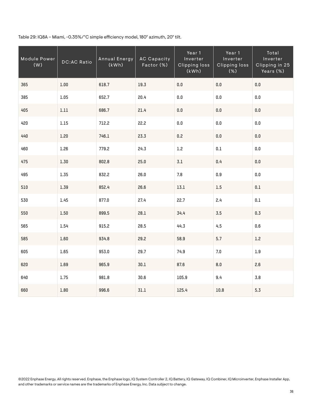Table 29: IQ8A – Miami, -0.35%/°C simple efficiency model, 180° azimuth, 20° tilt.

| Module Power<br>(W) | <b>DC:AC Ratio</b> | <b>Annual Energy</b><br>(kWh) | <b>AC Capacity</b><br>Factor (%) | Year 1<br>Inverter<br><b>Clipping loss</b><br>(kWh) | Year 1<br>Inverter<br><b>Clipping loss</b><br>(%) | Total<br>Inverter<br>Clipping in 25<br>Years (%) |
|---------------------|--------------------|-------------------------------|----------------------------------|-----------------------------------------------------|---------------------------------------------------|--------------------------------------------------|
| 365                 | 1.00               | 618.7                         | 19.3                             | $0.0\,$                                             | $0.0\,$                                           | $0.0\,$                                          |
| 385                 | 1.05               | 652.7                         | 20.4                             | 0.0                                                 | $0.0\,$                                           | 0.0                                              |
| 405                 | $1.11\,$           | 686.7                         | 21.4                             | $0.0\,$                                             | $0.0\,$                                           | $0.0\,$                                          |
| 420                 | $1.15\,$           | 712.2                         | 22.2                             | $0.0\,$                                             | $0.0\,$                                           | $0.0\,$                                          |
| 440                 | 1.20               | 746.1                         | 23.3                             | 0.2                                                 | $0.0\,$                                           | $0.0\,$                                          |
| 460                 | 1.26               | 779.2                         | 24.3                             | 1.2                                                 | $0.1\,$                                           | 0.0                                              |
| 475                 | 1.30               | 802.8                         | 25.0                             | $3.1\,$                                             | 0.4                                               | $0.0\,$                                          |
| 495                 | 1.35               | 832.2                         | 26.0                             | 7.8                                                 | 0.9                                               | $0.0\,$                                          |
| 510                 | 1.39               | 852.4                         | 26.6                             | 13.1                                                | $1.5\,$                                           | 0.1                                              |
| 530                 | 1.45               | 877.0                         | 27.4                             | 22.7                                                | 2.4                                               | $0.1\,$                                          |
| 550                 | 1.50               | 899.5                         | 28.1                             | 34.4                                                | $3.5\,$                                           | 0.3                                              |
| 565                 | 1.54               | 915.2                         | 28.5                             | 44.3                                                | 4.5                                               | 0.6                                              |
| 585                 | 1.60               | 934.8                         | 29.2                             | 58.9                                                | 5.7                                               | $1.2\,$                                          |
| 605                 | 1.65               | 953.0                         | 29.7                             | 74.9                                                | 7.0                                               | $1.9\,$                                          |
| 620                 | $1.69\,$           | 965.9                         | 30.1                             | 87.6                                                | 8.0                                               | 2.6                                              |
| 640                 | 1.75               | 981.8                         | 30.6                             | 105.9                                               | 9.4                                               | 3.8                                              |
| 660                 | $1.80\,$           | 996.6                         | 31.1                             | 125.4                                               | 10.8                                              | 5.3                                              |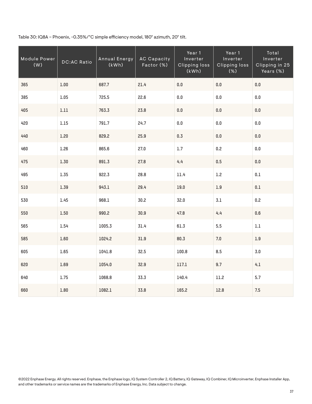Table 30: IQ8A – Phoenix, -0.35%/°C simple efficiency model, 180° azimuth, 20° tilt.

| Module Power<br>(W) | <b>DC:AC Ratio</b> | <b>Annual Energy</b><br>(kWh) | <b>AC Capacity</b><br>Factor (%) | Year 1<br>Inverter<br><b>Clipping loss</b><br>(kWh) | Year 1<br>Inverter<br><b>Clipping loss</b><br>(%) | Total<br>Inverter<br>Clipping in 25<br>Years (%) |
|---------------------|--------------------|-------------------------------|----------------------------------|-----------------------------------------------------|---------------------------------------------------|--------------------------------------------------|
| 365                 | $1.00\,$           | 687.7                         | 21.4                             | 0.0                                                 | $0.0\,$                                           | $0.0\,$                                          |
| 385                 | $1.05\,$           | 725.5                         | 22.6                             | $0.0\,$                                             | $0.0\,$                                           | $0.0\,$                                          |
| 405                 | $1.11\,$           | 763.3                         | 23.8                             | $0.0\,$                                             | 0.0                                               | $0.0\,$                                          |
| 420                 | $1.15\,$           | 791.7                         | 24.7                             | 0.0                                                 | $0.0\,$                                           | 0.0                                              |
| 440                 | 1.20               | 829.2                         | 25.9                             | 0.3                                                 | $0.0\,$                                           | $0.0\,$                                          |
| 460                 | 1.26               | 865.6                         | 27.0                             | $1.7$                                               | 0.2                                               | 0.0                                              |
| 475                 | 1.30               | 891.3                         | 27.8                             | 4.4                                                 | 0.5                                               | $0.0\,$                                          |
| 495                 | 1.35               | 922.3                         | 28.8                             | 11.4                                                | 1.2                                               | $0.1\,$                                          |
| 510                 | 1.39               | 943.1                         | 29.4                             | 19.0                                                | $1.9\,$                                           | $0.1\,$                                          |
| 530                 | 1.45               | 968.1                         | 30.2                             | 32.0                                                | 3.1                                               | 0.2                                              |
| 550                 | 1.50               | 990.2                         | 30.9                             | 47.8                                                | 4.4                                               | $0.6\,$                                          |
| 565                 | 1.54               | 1005.3                        | 31.4                             | 61.3                                                | 5.5                                               | $1.1\,$                                          |
| 585                 | 1.60               | 1024.2                        | 31.9                             | 80.3                                                | $7.0$                                             | $1.9\,$                                          |
| 605                 | 1.65               | 1041.8                        | 32.5                             | 100.8                                               | 8.5                                               | 3.0                                              |
| 620                 | 1.69               | 1054.0                        | 32.9                             | 117.1                                               | 9.7                                               | 4.1                                              |
| 640                 | 1.75               | 1068.8                        | 33.3                             | 140.4                                               | 11.2                                              | 5.7                                              |
| 660                 | 1.80               | 1082.1                        | 33.8                             | 165.2                                               | 12.8                                              | 7.5                                              |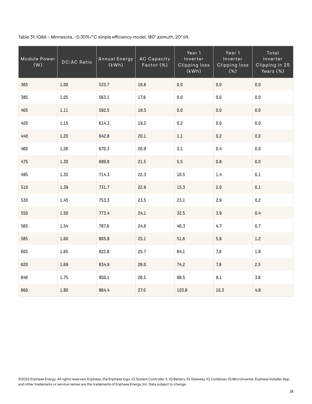Table 31: IQ8A – Minnesota, -0.35%/°C simple efficiency model, 180° azimuth, 20° tilt.

| Module Power<br>(W) | <b>DC:AC Ratio</b> | <b>Annual Energy</b><br>(kWh) | <b>AC Capacity</b><br>Factor (%) | Year 1<br>Inverter<br><b>Clipping loss</b><br>(kWh) | Year 1<br>Inverter<br><b>Clipping loss</b><br>(%) | Total<br>Inverter<br>Clipping in 25<br>Years (%) |
|---------------------|--------------------|-------------------------------|----------------------------------|-----------------------------------------------------|---------------------------------------------------|--------------------------------------------------|
| 365                 | $1.00\,$           | 533.7                         | 16.6                             | $0.0\,$                                             | $0.0\,$                                           | $0.0\,$                                          |
| 385                 | 1.05               | 563.1                         | 17.6                             | 0.0                                                 | 0.0                                               | 0.0                                              |
| 405                 | $1.11\,$           | 592.5                         | 18.5                             | $0.0\,$                                             | $0.0\,$                                           | 0.0                                              |
| 420                 | $1.15$             | 614.3                         | 19.2                             | 0.2                                                 | $0.0\,$                                           | $0.0\,$                                          |
| 440                 | 1.20               | 642.8                         | 20.1                             | $1.1\,$                                             | 0.2                                               | $0.0\,$                                          |
| 460                 | 1.26               | 670.3                         | 20.9                             | 3.1                                                 | $0.4\,$                                           | 0.0                                              |
| 475                 | 1.30               | 689.9                         | 21.5                             | 5.5                                                 | $0.8\,$                                           | 0.0                                              |
| 495                 | 1.35               | 714.3                         | 22.3                             | 10.5                                                | 1.4                                               | 0.1                                              |
| 510                 | 1.39               | 731.7                         | 22.8                             | 15.3                                                | 2.0                                               | $0.1\,$                                          |
| 530                 | 1.45               | 753.3                         | 23.5                             | 23.1                                                | 2.9                                               | 0.2                                              |
| 550                 | 1.50               | 773.4                         | 24.1                             | 32.5                                                | 3.9                                               | 0.4                                              |
| 565                 | 1.54               | 787.6                         | 24.6                             | 40.3                                                | 4.7                                               | 0.7                                              |
| 585                 | 1.60               | 805.8                         | 25.1                             | 51.6                                                | 5.8                                               | $1.2\,$                                          |
| 605                 | 1.65               | 822.8                         | 25.7                             | 64.1                                                | 7.0                                               | $1.9\,$                                          |
| 620                 | 1.69               | 834.9                         | 26.0                             | 74.2                                                | $7.9\,$                                           | 2.5                                              |
| 640                 | 1.75               | 850.1                         | 26.5                             | 88.5                                                | 9.1                                               | 3.6                                              |
| 660                 | $1.80\,$           | 864.4                         | 27.0                             | 103.8                                               | 10.3                                              | 4.8                                              |

©2022 Enphase Energy. All rights reserved. Enphase, the Enphase logo, IQ System Controller 2, IQ Battery, IQ Gateway, IQ Combiner, IQ Microinverter, Enphase Installer App, and other trademarks or service names are the trademarks of Enphase Energy, Inc. Data subject to change.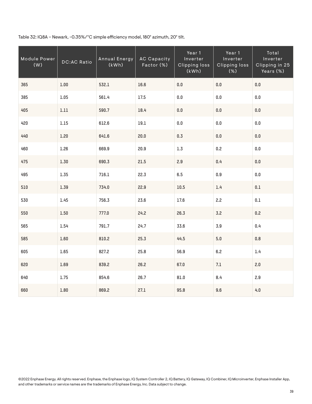Table 32: IQ8A – Newark, -0.35%/°C simple efficiency model, 180° azimuth, 20° tilt.

| Module Power<br>(W) | <b>DC:AC Ratio</b> | <b>Annual Energy</b><br>(kWh) | <b>AC Capacity</b><br>Factor (%) | Year 1<br>Inverter<br><b>Clipping loss</b><br>(kWh) | Year 1<br>Inverter<br><b>Clipping loss</b><br>$(\%)$ | Total<br>Inverter<br>Clipping in 25<br>Years (%) |
|---------------------|--------------------|-------------------------------|----------------------------------|-----------------------------------------------------|------------------------------------------------------|--------------------------------------------------|
| 365                 | 1.00               | 532.1                         | 16.6                             | 0.0                                                 | $0.0\,$                                              | $0.0\,$                                          |
| 385                 | 1.05               | 561.4                         | 17.5                             | 0.0                                                 | $0.0\,$                                              | $0.0\,$                                          |
| 405                 | $1.11\,$           | 590.7                         | 18.4                             | $0.0\,$                                             | $0.0\,$                                              | $0.0\,$                                          |
| 420                 | $1.15\,$           | 612.6                         | 19.1                             | $0.0\,$                                             | $0.0\,$                                              | $0.0\,$                                          |
| 440                 | 1.20               | 641.6                         | 20.0                             | 0.3                                                 | $0.0\,$                                              | $0.0\,$                                          |
| 460                 | 1.26               | 669.9                         | 20.9                             | 1.3                                                 | 0.2                                                  | 0.0                                              |
| 475                 | 1.30               | 690.3                         | 21.5                             | 2.9                                                 | 0.4                                                  | $0.0\,$                                          |
| 495                 | 1.35               | 716.1                         | 22.3                             | 6.5                                                 | 0.9                                                  | 0.0                                              |
| 510                 | 1.39               | 734.0                         | 22.9                             | $10.5\,$                                            | 1.4                                                  | $0.1\,$                                          |
| 530                 | 1.45               | 756.3                         | 23.6                             | 17.6                                                | 2.2                                                  | $0.1\,$                                          |
| 550                 | 1.50               | 777.0                         | 24.2                             | 26.3                                                | 3.2                                                  | 0.2                                              |
| 565                 | 1.54               | 791.7                         | 24.7                             | 33.6                                                | 3.9                                                  | 0.4                                              |
| 585                 | 1.60               | 810.2                         | 25.3                             | 44.5                                                | 5.0                                                  | $0.8\,$                                          |
| 605                 | 1.65               | 827.2                         | 25.8                             | 56.9                                                | 6.2                                                  | 1.4                                              |
| 620                 | 1.69               | 839.2                         | 26.2                             | 67.0                                                | 7.1                                                  | 2.0                                              |
| 640                 | 1.75               | 854.6                         | 26.7                             | $81.0\,$                                            | 8.4                                                  | 2.9                                              |
| 660                 | $1.80\,$           | 869.2                         | 27.1                             | 95.8                                                | 9.6                                                  | $4.0\,$                                          |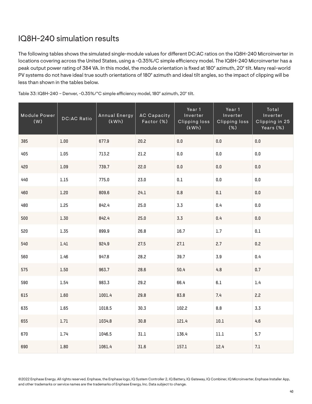# IQ8H-240 simulation results

The following tables shows the simulated single-module values for different DC:AC ratios on the IQ8H-240 Microinverter in locations covering across the United States, using a -0.35%/C simple efficiency model. The IQ8H-240 Microinverter has a peak output power rating of 384 VA. In this model, the module orientation is fixed at 180° azimuth, 20° tilt. Many real-world PV systems do not have ideal true south orientations of 180° azimuth and ideal tilt angles, so the impact of clipping will be less than shown in the tables below.

| Module Power<br>(W) | <b>DC:AC Ratio</b> | <b>Annual Energy</b><br>(kWh) | <b>AC Capacity</b><br>Factor (%) | Year 1<br>Inverter<br><b>Clipping loss</b><br>(kWh) | Year 1<br>Inverter<br><b>Clipping loss</b><br>(%) | Total<br>Inverter<br>Clipping in 25<br>Years (%) |
|---------------------|--------------------|-------------------------------|----------------------------------|-----------------------------------------------------|---------------------------------------------------|--------------------------------------------------|
| 385                 | 1.00               | 677.9                         | 20.2                             | $0.0\,$                                             | $0.0\,$                                           | $0.0\,$                                          |
| 405                 | 1.05               | 713.2                         | 21.2                             | 0.0                                                 | $0.0\,$                                           | 0.0                                              |
| 420                 | 1.09               | 739.7                         | 22.0                             | $0.0\,$                                             | $0.0\,$                                           | $0.0\,$                                          |
| 440                 | $1.15\,$           | 775.0                         | 23.0                             | $0.1\,$                                             | $0.0\,$                                           | 0.0                                              |
| 460                 | 1.20               | 809.6                         | 24.1                             | $0.8\,$                                             | $0.1\,$                                           | $0.0\,$                                          |
| 480                 | 1.25               | 842.4                         | 25.0                             | 3.3                                                 | 0.4                                               | $0.0\,$                                          |
| 500                 | 1.30               | 842.4                         | 25.0                             | 3.3                                                 | 0.4                                               | $0.0\,$                                          |
| 520                 | 1.35               | 899.9                         | 26.8                             | 16.7                                                | $1.7\,$                                           | $0.1\,$                                          |
| 540                 | 1.41               | 924.9                         | 27.5                             | 27.1                                                | 2.7                                               | 0.2                                              |
| 560                 | 1.46               | 947.8                         | 28.2                             | 39.7                                                | 3.9                                               | 0.4                                              |
| 575                 | $1.50\,$           | 963.7                         | 28.6                             | 50.4                                                | 4.8                                               | 0.7                                              |
| 590                 | 1.54               | 983.3                         | 29.2                             | 66.4                                                | $6.1\,$                                           | $1.4\,$                                          |
| 615                 | 1.60               | 1001.4                        | 29.8                             | 83.8                                                | 7.4                                               | 2.2                                              |
| 635                 | 1.65               | 1018.5                        | 30.3                             | 102.2                                               | 8.8                                               | 3.3                                              |
| 655                 | 1.71               | 1034.8                        | 30.8                             | 121.4                                               | $10.1\,$                                          | 4.6                                              |
| 670                 | 1.74               | 1046.5                        | 31.1                             | 136.4                                               | $11.1\,$                                          | 5.7                                              |
| 690                 | $1.80\,$           | 1061.4                        | 31.6                             | 157.1                                               | 12.4                                              | 7.1                                              |

Table 33: IQ8H-240 – Denver, -0.35%/°C simple efficiency model, 180° azimuth, 20° tilt.

©2022 Enphase Energy. All rights reserved. Enphase, the Enphase logo, IQ System Controller 2, IQ Battery, IQ Gateway, IQ Combiner, IQ Microinverter, Enphase Installer App, and other trademarks or service names are the trademarks of Enphase Energy, Inc. Data subject to change.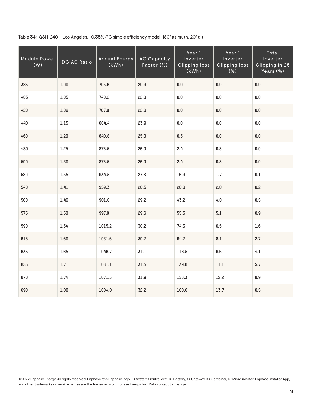Table 34: IQ8H-240 – Los Angeles, -0.35%/°C simple efficiency model, 180° azimuth, 20° tilt.

| Module Power<br>(W) | <b>DC:AC Ratio</b> | Annual Energy<br>(kWh) | <b>AC Capacity</b><br>Factor (%) | Year 1<br>Inverter<br>Clipping loss<br>(kWh) | Year 1<br>Inverter<br><b>Clipping loss</b><br>(%) | Total<br>Inverter<br>Clipping in 25<br>Years (%) |
|---------------------|--------------------|------------------------|----------------------------------|----------------------------------------------|---------------------------------------------------|--------------------------------------------------|
| 385                 | $1.00\,$           | 703.6                  | 20.9                             | $0.0\,$                                      | $0.0\,$                                           | $0.0\,$                                          |
| 405                 | $1.05\,$           | 740.2                  | 22.0                             | $0.0\,$                                      | $0.0\,$                                           | $0.0\,$                                          |
| 420                 | $1.09\,$           | 767.8                  | 22.8                             | 0.0                                          | $0.0\,$                                           | $0.0\,$                                          |
| 440                 | $1.15\,$           | 804.4                  | 23.9                             | $0.0\,$                                      | $0.0\,$                                           | $0.0\,$                                          |
| 460                 | 1.20               | 840.8                  | 25.0                             | 0.3                                          | $0.0\,$                                           | $0.0\,$                                          |
| 480                 | 1.25               | 875.5                  | 26.0                             | 2.4                                          | 0.3                                               | 0.0                                              |
| 500                 | 1.30               | 875.5                  | 26.0                             | 2.4                                          | 0.3                                               | $0.0\,$                                          |
| 520                 | 1.35               | 934.5                  | 27.8                             | 16.9                                         | 1.7                                               | 0.1                                              |
| 540                 | 1.41               | 959.3                  | 28.5                             | 28.8                                         | 2.8                                               | 0.2                                              |
| 560                 | 1.46               | 981.8                  | 29.2                             | 43.2                                         | $4.0$                                             | 0.5                                              |
| 575                 | 1.50               | 997.0                  | 29.6                             | 55.5                                         | 5.1                                               | 0.9                                              |
| 590                 | 1.54               | 1015.2                 | 30.2                             | 74.3                                         | 6.5                                               | $1.6\,$                                          |
| 615                 | 1.60               | 1031.6                 | 30.7                             | 94.7                                         | $\boldsymbol{8.1}$                                | 2.7                                              |
| 635                 | 1.65               | 1046.7                 | 31.1                             | 116.5                                        | 9.6                                               | 4.1                                              |
| 655                 | 1.71               | 1061.1                 | 31.5                             | 139.0                                        | $11.1\,$                                          | 5.7                                              |
| 670                 | 1.74               | 1071.5                 | 31.9                             | 156.3                                        | 12.2                                              | 6.9                                              |
| 690                 | $1.80\,$           | 1084.8                 | 32.2                             | 180.0                                        | 13.7                                              | 8.5                                              |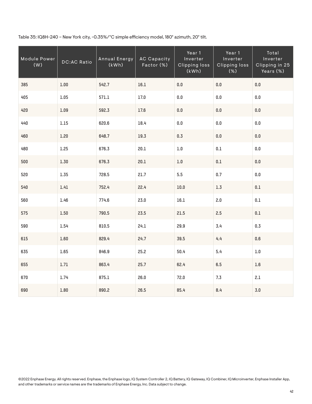Table 35: IQ8H-240 – New York city, -0.35%/°C simple efficiency model, 180° azimuth, 20° tilt.

| Module Power<br>(W) | <b>DC:AC Ratio</b> | <b>Annual Energy</b><br>(kWh) | <b>AC Capacity</b><br>Factor (%) | Year 1<br>Inverter<br><b>Clipping loss</b><br>(kWh) | Year 1<br>Inverter<br><b>Clipping loss</b><br>(%) | Total<br>Inverter<br>Clipping in 25<br>Years (%) |
|---------------------|--------------------|-------------------------------|----------------------------------|-----------------------------------------------------|---------------------------------------------------|--------------------------------------------------|
| 385                 | 1.00               | 542.7                         | 16.1                             | 0.0                                                 | 0.0                                               | 0.0                                              |
| 405                 | 1.05               | 571.1                         | 17.0                             | $0.0\,$                                             | 0.0                                               | $0.0\,$                                          |
| 420                 | $1.09\,$           | 592.3                         | 17.6                             | $0.0\,$                                             | $0.0\,$                                           | 0.0                                              |
| 440                 | 1.15               | 620.6                         | 18.4                             | $0.0\,$                                             | 0.0                                               | $0.0\,$                                          |
| 460                 | 1.20               | 648.7                         | 19.3                             | 0.3                                                 | $0.0\,$                                           | $0.0\,$                                          |
| 480                 | 1.25               | 676.3                         | 20.1                             | $1.0\,$                                             | 0.1                                               | $0.0\,$                                          |
| 500                 | 1.30               | 676.3                         | 20.1                             | $1.0\,$                                             | $0.1\,$                                           | $0.0\,$                                          |
| 520                 | 1.35               | 728.5                         | 21.7                             | 5.5                                                 | 0.7                                               | $0.0\,$                                          |
| 540                 | 1.41               | 752.4                         | 22.4                             | $10.0\,$                                            | $1.3\,$                                           | $0.1\,$                                          |
| 560                 | 1.46               | 774.6                         | 23.0                             | 16.1                                                | 2.0                                               | $0.1\,$                                          |
| 575                 | 1.50               | 790.5                         | 23.5                             | 21.5                                                | 2.5                                               | $0.1\,$                                          |
| 590                 | 1.54               | 810.5                         | 24.1                             | 29.9                                                | 3.4                                               | 0.3                                              |
| 615                 | $1.60\,$           | 829.4                         | 24.7                             | 39.5                                                | 4.4                                               | 0.6                                              |
| 635                 | 1.65               | 846.9                         | 25.2                             | 50.4                                                | 5.4                                               | $1.0\,$                                          |
| 655                 | 1.71               | 863.4                         | 25.7                             | 62.4                                                | 6.5                                               | $1.6\,$                                          |
| 670                 | 1.74               | 875.1                         | 26.0                             | 72.0                                                | 7.3                                               | 2.1                                              |
| 690                 | 1.80               | 890.2                         | 26.5                             | 85.4                                                | 8.4                                               | $3.0$                                            |

©2022 Enphase Energy. All rights reserved. Enphase, the Enphase logo, IQ System Controller 2, IQ Battery, IQ Gateway, IQ Combiner, IQ Microinverter, Enphase Installer App, and other trademarks or service names are the trademarks of Enphase Energy, Inc. Data subject to change.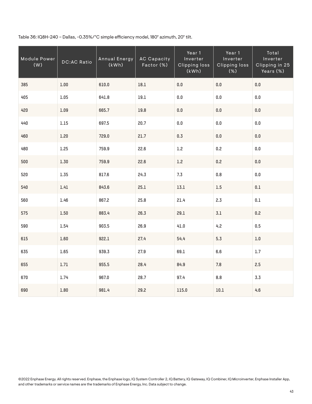Table 36: IQ8H-240 – Dallas, -0.35%/°C simple efficiency model, 180° azimuth, 20° tilt.

| Module Power<br>(W) | <b>DC:AC Ratio</b> | <b>Annual Energy</b><br>(kWh) | <b>AC Capacity</b><br>Factor (%) | Year 1<br>Inverter<br><b>Clipping loss</b><br>(kWh) | Year 1<br>Inverter<br><b>Clipping loss</b><br>(%) | Total<br>Inverter<br>Clipping in 25<br>Years $(\frac{8}{2})$ |
|---------------------|--------------------|-------------------------------|----------------------------------|-----------------------------------------------------|---------------------------------------------------|--------------------------------------------------------------|
| 385                 | 1.00               | 610.0                         | 18.1                             | $0.0\,$                                             | $0.0\,$                                           | $0.0\,$                                                      |
| 405                 | 1.05               | 641.8                         | 19.1                             | 0.0                                                 | $0.0\,$                                           | $0.0\,$                                                      |
| 420                 | 1.09               | 665.7                         | 19.8                             | $0.0\,$                                             | $0.0\,$                                           | $0.0\,$                                                      |
| 440                 | $1.15\,$           | 697.5                         | 20.7                             | $0.0\,$                                             | $0.0\,$                                           | $0.0\,$                                                      |
| 460                 | 1.20               | 729.0                         | 21.7                             | 0.3                                                 | $0.0\,$                                           | $0.0\,$                                                      |
| 480                 | 1.25               | 759.9                         | 22.6                             | 1.2                                                 | 0.2                                               | $0.0\,$                                                      |
| 500                 | 1.30               | 759.9                         | 22.6                             | $1.2\,$                                             | 0.2                                               | $0.0\,$                                                      |
| 520                 | 1.35               | 817.6                         | 24.3                             | 7.3                                                 | 0.8                                               | 0.0                                                          |
| 540                 | 1.41               | 843.6                         | 25.1                             | 13.1                                                | $1.5\,$                                           | $0.1\,$                                                      |
| 560                 | 1.46               | 867.2                         | 25.8                             | 21.4                                                | 2.3                                               | $0.1\,$                                                      |
| 575                 | 1.50               | 883.4                         | 26.3                             | 29.1                                                | $3.1\,$                                           | 0.2                                                          |
| 590                 | 1.54               | 903.5                         | 26.9                             | 41.0                                                | 4.2                                               | 0.5                                                          |
| 615                 | 1.60               | 922.1                         | 27.4                             | 54.4                                                | 5.3                                               | $1.0\,$                                                      |
| 635                 | 1.65               | 939.3                         | 27.9                             | 69.1                                                | 6.6                                               | $1.7\,$                                                      |
| 655                 | 1.71               | 955.5                         | 28.4                             | 84.9                                                | 7.8                                               | 2.5                                                          |
| 670                 | 1.74               | 967.0                         | 28.7                             | 97.4                                                | 8.8                                               | 3.3                                                          |
| 690                 | $1.80\,$           | 981.4                         | 29.2                             | 115.0                                               | $10.1\,$                                          | 4.6                                                          |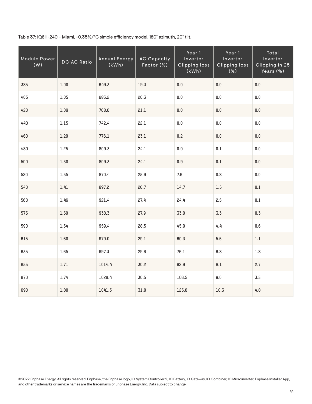Table 37: IQ8H-240 – Miami, -0.35%/°C simple efficiency model, 180° azimuth, 20° tilt.

| Module Power<br>(W) | <b>DC:AC Ratio</b> | Annual Energy<br>(kWh) | <b>AC Capacity</b><br>Factor (%) | Year 1<br>Inverter<br>Clipping loss<br>(kWh) | Year 1<br>Inverter<br><b>Clipping loss</b><br>(%) | Total<br>Inverter<br>Clipping in 25<br>Years (%) |
|---------------------|--------------------|------------------------|----------------------------------|----------------------------------------------|---------------------------------------------------|--------------------------------------------------|
| 385                 | $1.00\,$           | 649.3                  | 19.3                             | $0.0\,$                                      | $0.0\,$                                           | $0.0\,$                                          |
| 405                 | 1.05               | 683.2                  | 20.3                             | 0.0                                          | 0.0                                               | 0.0                                              |
| 420                 | 1.09               | 708.6                  | 21.1                             | $0.0\,$                                      | $0.0\,$                                           | $0.0\,$                                          |
| 440                 | $1.15$             | 742.4                  | 22.1                             | $0.0\,$                                      | $0.0\,$                                           | $0.0\,$                                          |
| 460                 | 1.20               | 776.1                  | 23.1                             | 0.2                                          | $0.0\,$                                           | $0.0\,$                                          |
| 480                 | 1.25               | 809.3                  | 24.1                             | 0.9                                          | 0.1                                               | 0.0                                              |
| 500                 | 1.30               | 809.3                  | 24.1                             | $0.9\,$                                      | $0.1\,$                                           | $0.0\,$                                          |
| 520                 | 1.35               | 870.4                  | 25.9                             | 7.6                                          | 0.8                                               | $0.0\,$                                          |
| 540                 | 1.41               | 897.2                  | 26.7                             | 14.7                                         | $1.5\,$                                           | $0.1\,$                                          |
| 560                 | 1.46               | 921.4                  | 27.4                             | 24.4                                         | 2.5                                               | $0.1\,$                                          |
| 575                 | 1.50               | 938.3                  | 27.9                             | 33.0                                         | 3.3                                               | 0.3                                              |
| 590                 | 1.54               | 959.4                  | 28.5                             | 45.9                                         | 4.4                                               | $0.6\,$                                          |
| 615                 | 1.60               | 979.0                  | 29.1                             | 60.3                                         | 5.6                                               | $1.1\,$                                          |
| 635                 | 1.65               | 997.3                  | 29.6                             | 76.1                                         | 6.8                                               | $1.8\,$                                          |
| 655                 | 1.71               | 1014.4                 | 30.2                             | 92.9                                         | 8.1                                               | 2.7                                              |
| 670                 | 1.74               | 1026.4                 | 30.5                             | 106.5                                        | $9.0\,$                                           | 3.5                                              |
| 690                 | 1.80               | 1041.3                 | 31.0                             | 125.6                                        | 10.3                                              | 4.8                                              |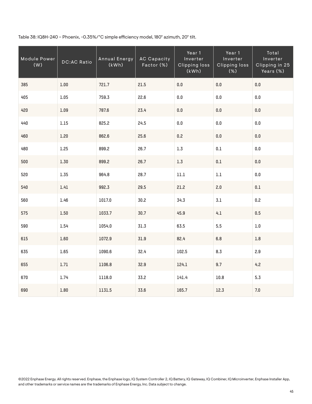Table 38: IQ8H-240 – Phoenix, -0.35%/°C simple efficiency model, 180° azimuth, 20° tilt.

| Module Power<br>(W) | <b>DC:AC Ratio</b> | Annual Energy<br>(kWh) | <b>AC Capacity</b><br>Factor (%) | Year 1<br>Inverter<br><b>Clipping loss</b><br>(kWh) | Year 1<br>Inverter<br><b>Clipping loss</b><br>(%) | Total<br>Inverter<br>Clipping in 25<br>Years (%) |
|---------------------|--------------------|------------------------|----------------------------------|-----------------------------------------------------|---------------------------------------------------|--------------------------------------------------|
| 385                 | $1.00\,$           | 721.7                  | 21.5                             | $0.0\,$                                             | $0.0\,$                                           | $0.0\,$                                          |
| 405                 | 1.05               | 759.3                  | 22.6                             | $0.0\,$                                             | 0.0                                               | $0.0\,$                                          |
| 420                 | $1.09\,$           | 787.6                  | 23.4                             | $0.0\,$                                             | $0.0\,$                                           | $0.0\,$                                          |
| 440                 | $1.15\,$           | 825.2                  | 24.5                             | $0.0\,$                                             | 0.0                                               | 0.0                                              |
| 460                 | 1.20               | 862.6                  | 25.6                             | 0.2                                                 | $0.0\,$                                           | $0.0\,$                                          |
| 480                 | 1.25               | 899.2                  | 26.7                             | 1.3                                                 | 0.1                                               | $0.0\,$                                          |
| 500                 | 1.30               | 899.2                  | 26.7                             | $1.3\,$                                             | $0.1\,$                                           | 0.0                                              |
| 520                 | 1.35               | 964.8                  | 28.7                             | 11.1                                                | $1.1\,$                                           | 0.0                                              |
| 540                 | 1.41               | 992.3                  | 29.5                             | 21.2                                                | 2.0                                               | $0.1\,$                                          |
| 560                 | 1.46               | 1017.0                 | 30.2                             | 34.3                                                | $3.1\,$                                           | 0.2                                              |
| 575                 | 1.50               | 1033.7                 | 30.7                             | 45.9                                                | 4.1                                               | 0.5                                              |
| 590                 | 1.54               | 1054.0                 | 31.3                             | 63.5                                                | 5.5                                               | $1.0\,$                                          |
| 615                 | $1.60\,$           | 1072.9                 | 31.9                             | 82.4                                                | 6.8                                               | $1.8\,$                                          |
| 635                 | 1.65               | 1090.6                 | 32.4                             | 102.5                                               | 8.3                                               | 2.9                                              |
| 655                 | 1.71               | 1106.8                 | 32.9                             | 124.1                                               | 9.7                                               | 4.2                                              |
| 670                 | 1.74               | 1118.0                 | 33.2                             | 141.4                                               | 10.8                                              | 5.3                                              |
| 690                 | 1.80               | 1131.5                 | 33.6                             | 165.7                                               | 12.3                                              | $7.0$                                            |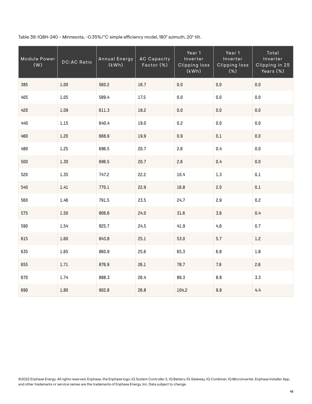Table 39: IQ8H-240 – Minnesota, -0.35%/°C simple efficiency model, 180° azimuth, 20° tilt.

| Module Power<br>(W) | <b>DC:AC Ratio</b> | Annual Energy<br>(kWh) | <b>AC Capacity</b><br>Factor (%) | Year 1<br>Inverter<br><b>Clipping loss</b><br>(kWh) | Year 1<br>Inverter<br><b>Clipping loss</b><br>(%) | Total<br>Inverter<br>Clipping in 25<br>Years (%) |
|---------------------|--------------------|------------------------|----------------------------------|-----------------------------------------------------|---------------------------------------------------|--------------------------------------------------|
| 385                 | $1.00\,$           | 560.2                  | 16.7                             | 0.0                                                 | $0.0\,$                                           | $0.0\,$                                          |
| 405                 | 1.05               | 589.4                  | 17.5                             | $0.0\,$                                             | $0.0\,$                                           | $0.0\,$                                          |
| 420                 | 1.09               | 611.3                  | 18.2                             | 0.0                                                 | 0.0                                               | 0.0                                              |
| 440                 | $1.15$             | 640.4                  | 19.0                             | 0.2                                                 | $0.0\,$                                           | $0.0\,$                                          |
| 460                 | 1.20               | 668.9                  | 19.9                             | $0.9\,$                                             | $0.1\,$                                           | $0.0\,$                                          |
| 480                 | 1.25               | 696.5                  | 20.7                             | 2.6                                                 | 0.4                                               | 0.0                                              |
| 500                 | 1.30               | 696.5                  | 20.7                             | 2.6                                                 | 0.4                                               | $0.0\,$                                          |
| 520                 | 1.35               | 747.2                  | 22.2                             | 10.4                                                | $1.3\,$                                           | $0.1\,$                                          |
| 540                 | 1.41               | 770.1                  | 22.9                             | 16.8                                                | $2.0$                                             | $0.1\,$                                          |
| 560                 | 1.46               | 791.5                  | 23.5                             | 24.7                                                | 2.9                                               | 0.2                                              |
| 575                 | 1.50               | 806.6                  | 24.0                             | 31.6                                                | 3.6                                               | 0.4                                              |
| 590                 | 1.54               | 825.7                  | 24.5                             | 41.9                                                | 4.6                                               | 0.7                                              |
| 615                 | 1.60               | 843.8                  | 25.1                             | 53.0                                                | 5.7                                               | 1.2                                              |
| 635                 | 1.65               | 860.9                  | 25.6                             | 65.3                                                | 6.8                                               | $1.8\,$                                          |
| 655                 | 1.71               | 876.9                  | 26.1                             | 78.7                                                | 7.9                                               | 2.6                                              |
| 670                 | 1.74               | 888.3                  | 26.4                             | 89.3                                                | 8.8                                               | 3.3                                              |
| 690                 | 1.80               | 902.8                  | 26.8                             | 104.2                                               | 9.9                                               | 4.4                                              |

©2022 Enphase Energy. All rights reserved. Enphase, the Enphase logo, IQ System Controller 2, IQ Battery, IQ Gateway, IQ Combiner, IQ Microinverter, Enphase Installer App, and other trademarks or service names are the trademarks of Enphase Energy, Inc. Data subject to change.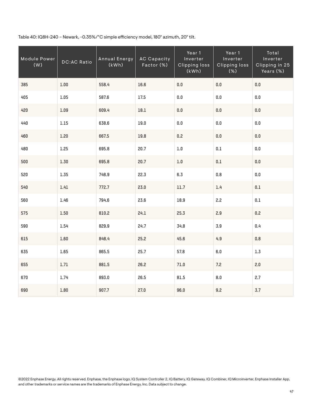Table 40: IQ8H-240 – Newark, -0.35%/°C simple efficiency model, 180° azimuth, 20° tilt.

| Module Power<br>(W) | <b>DC:AC Ratio</b> | <b>Annual Energy</b><br>(kWh) | <b>AC Capacity</b><br>Factor (%) | Year 1<br>Inverter<br><b>Clipping loss</b><br>(kWh) | Year 1<br>Inverter<br><b>Clipping loss</b><br>(%) | Total<br>Inverter<br>Clipping in 25<br>Years (%) |
|---------------------|--------------------|-------------------------------|----------------------------------|-----------------------------------------------------|---------------------------------------------------|--------------------------------------------------|
| 385                 | $1.00\,$           | 558.4                         | 16.6                             | $0.0\,$                                             | $0.0\,$                                           | $0.0\,$                                          |
| 405                 | 1.05               | 587.6                         | 17.5                             | 0.0                                                 | $0.0\,$                                           | 0.0                                              |
| 420                 | $1.09\,$           | 609.4                         | 18.1                             | $0.0\,$                                             | $0.0\,$                                           | 0.0                                              |
| 440                 | $1.15\,$           | 638.6                         | $19.0\,$                         | $0.0\,$                                             | $0.0\,$                                           | $0.0\,$                                          |
| 460                 | 1.20               | 667.5                         | 19.8                             | 0.2                                                 | $0.0\,$                                           | $0.0\,$                                          |
| 480                 | 1.25               | 695.8                         | 20.7                             | $1.0\,$                                             | $0.1\,$                                           | $0.0\,$                                          |
| 500                 | 1.30               | 695.8                         | 20.7                             | $1.0\,$                                             | $0.1\,$                                           | $0.0\,$                                          |
| 520                 | 1.35               | 748.9                         | 22.3                             | 6.3                                                 | 0.8                                               | $0.0\,$                                          |
| 540                 | 1.41               | 772.7                         | 23.0                             | $11.7\,$                                            | 1.4                                               | $0.1\,$                                          |
| 560                 | 1.46               | 794.6                         | 23.6                             | 18.9                                                | 2.2                                               | $0.1\,$                                          |
| 575                 | 1.50               | 810.2                         | 24.1                             | 25.3                                                | 2.9                                               | 0.2                                              |
| 590                 | 1.54               | 829.9                         | 24.7                             | 34.8                                                | 3.9                                               | $0.4\,$                                          |
| 615                 | 1.60               | 848.4                         | 25.2                             | 45.6                                                | 4.9                                               | 0.8                                              |
| 635                 | 1.65               | 865.5                         | 25.7                             | 57.8                                                | 6.0                                               | 1.3                                              |
| 655                 | 1.71               | 881.5                         | 26.2                             | 71.0                                                | 7.2                                               | 2.0                                              |
| 670                 | 1.74               | 893.0                         | 26.5                             | 81.5                                                | $8.0\,$                                           | 2.7                                              |
| 690                 | $1.80\,$           | 907.7                         | 27.0                             | 96.0                                                | 9.2                                               | 3.7                                              |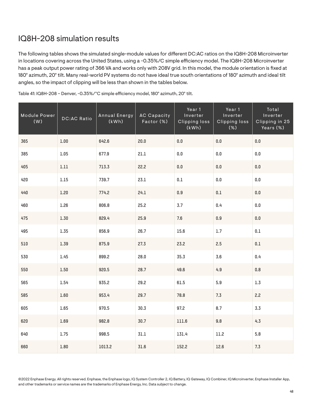# IQ8H-208 simulation results

The following tables shows the simulated single-module values for different DC:AC ratios on the IQ8H-208 Microinverter in locations covering across the United States, using a -0.35%/C simple efficiency model. The IQ8H-208 Microinverter has a peak output power rating of 366 VA and works only with 208V grid. In this model, the module orientation is fixed at 180° azimuth, 20° tilt. Many real-world PV systems do not have ideal true south orientations of 180° azimuth and ideal tilt angles, so the impact of clipping will be less than shown in the tables below.

| Module Power<br>(W) | <b>DC:AC Ratio</b> | <b>Annual Energy</b><br>(kWh) | <b>AC Capacity</b><br>Factor (%) | Year 1<br>Inverter<br><b>Clipping loss</b><br>(kWh) | Year 1<br>Inverter<br><b>Clipping loss</b><br>(%) | Total<br>Inverter<br>Clipping in 25<br>Years (%) |
|---------------------|--------------------|-------------------------------|----------------------------------|-----------------------------------------------------|---------------------------------------------------|--------------------------------------------------|
| 365                 | $1.00\,$           | 642.6                         | 20.0                             | 0.0                                                 | $0.0\,$                                           | $0.0\,$                                          |
| 385                 | 1.05               | 677.9                         | 21.1                             | 0.0                                                 | $0.0\,$                                           | 0.0                                              |
| 405                 | $1.11\,$           | 713.3                         | 22.2                             | $0.0\,$                                             | $0.0\,$                                           | 0.0                                              |
| 420                 | 1.15               | 739.7                         | 23.1                             | 0.1                                                 | $0.0\,$                                           | $0.0\,$                                          |
| 440                 | 1.20               | 774.2                         | 24.1                             | $0.9\,$                                             | $0.1\,$                                           | $0.0\,$                                          |
| 460                 | 1.26               | 806.8                         | 25.2                             | 3.7                                                 | 0.4                                               | $0.0\,$                                          |
| 475                 | 1.30               | 829.4                         | 25.9                             | 7.6                                                 | $0.9\,$                                           | $0.0\,$                                          |
| 495                 | 1.35               | 856.9                         | 26.7                             | 15.6                                                | $1.7\,$                                           | 0.1                                              |
| 510                 | 1.39               | 875.9                         | 27.3                             | 23.2                                                | 2.5                                               | $0.1\,$                                          |
| 530                 | 1.45               | 899.2                         | 28.0                             | 35.3                                                | 3.6                                               | 0.4                                              |
| 550                 | 1.50               | 920.5                         | 28.7                             | 49.6                                                | 4.9                                               | $0.8\,$                                          |
| 565                 | 1.54               | 935.2                         | 29.2                             | 61.5                                                | 5.9                                               | $1.3\,$                                          |
| 585                 | 1.60               | 953.4                         | 29.7                             | 78.8                                                | 7.3                                               | 2.2                                              |
| 605                 | 1.65               | 970.5                         | 30.3                             | 97.2                                                | 8.7                                               | 3.3                                              |
| 620                 | 1.69               | 982.8                         | 30.7                             | $111.6\,$                                           | 9.8                                               | 4.3                                              |
| 640                 | 1.75               | 998.5                         | 31.1                             | 131.4                                               | $11.2\,$                                          | 5.8                                              |
| 660                 | $1.80\,$           | 1013.2                        | $31.6\,$                         | 152.2                                               | $12.6$                                            | 7.3                                              |

Table 41: IQ8H-208 – Denver, -0.35%/°C simple efficiency model, 180° azimuth, 20° tilt.

©2022 Enphase Energy. All rights reserved. Enphase, the Enphase logo, IQ System Controller 2, IQ Battery, IQ Gateway, IQ Combiner, IQ Microinverter, Enphase Installer App, and other trademarks or service names are the trademarks of Enphase Energy, Inc. Data subject to change.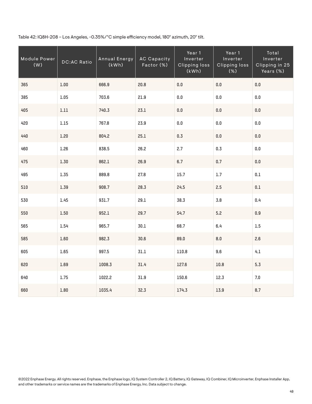Table 42: IQ8H-208 – Los Angeles, -0.35%/°C simple efficiency model, 180° azimuth, 20° tilt.

| Module Power<br>(W) | <b>DC:AC Ratio</b> | Annual Energy<br>(kWh) | <b>AC Capacity</b><br>Factor (%) | Year 1<br>Inverter<br><b>Clipping loss</b><br>(kWh) | Year 1<br>Inverter<br><b>Clipping loss</b><br>(%) | Total<br>Inverter<br>Clipping in 25<br>Years (%) |
|---------------------|--------------------|------------------------|----------------------------------|-----------------------------------------------------|---------------------------------------------------|--------------------------------------------------|
| 365                 | $1.00\,$           | 666.9                  | 20.8                             | 0.0                                                 | $0.0\,$                                           | $0.0\,$                                          |
| 385                 | $1.05\,$           | 703.6                  | 21.9                             | $0.0\,$                                             | $0.0\,$                                           | $0.0\,$                                          |
| 405                 | $1.11$             | 740.3                  | 23.1                             | 0.0                                                 | $0.0\,$                                           | 0.0                                              |
| 420                 | $1.15\,$           | 767.8                  | 23.9                             | $0.0\,$                                             | $0.0\,$                                           | $0.0\,$                                          |
| 440                 | 1.20               | 804.2                  | 25.1                             | 0.3                                                 | $0.0\,$                                           | $0.0\,$                                          |
| 460                 | 1.26               | 838.5                  | 26.2                             | 2.7                                                 | 0.3                                               | 0.0                                              |
| 475                 | 1.30               | 862.1                  | 26.9                             | 6.7                                                 | 0.7                                               | $0.0\,$                                          |
| 495                 | 1.35               | 889.8                  | 27.8                             | 15.7                                                | $1.7$                                             | $0.1\,$                                          |
| 510                 | 1.39               | 908.7                  | 28.3                             | 24.5                                                | $2.5\,$                                           | $0.1\,$                                          |
| 530                 | 1.45               | 931.7                  | 29.1                             | 38.3                                                | 3.8                                               | $0.4\,$                                          |
| 550                 | 1.50               | 952.1                  | 29.7                             | 54.7                                                | 5.2                                               | 0.9                                              |
| 565                 | 1.54               | 965.7                  | 30.1                             | 68.7                                                | 6.4                                               | $1.5\,$                                          |
| 585                 | $1.60$             | 982.3                  | 30.6                             | 89.0                                                | 8.0                                               | 2.6                                              |
| 605                 | 1.65               | 997.5                  | 31.1                             | 110.8                                               | 9.6                                               | 4.1                                              |
| 620                 | 1.69               | 1008.3                 | 31.4                             | 127.6                                               | 10.8                                              | 5.3                                              |
| 640                 | 1.75               | 1022.2                 | 31.9                             | 150.6                                               | 12.3                                              | 7.0                                              |
| 660                 | $1.80\,$           | 1035.4                 | 32.3                             | 174.3                                               | 13.9                                              | 8.7                                              |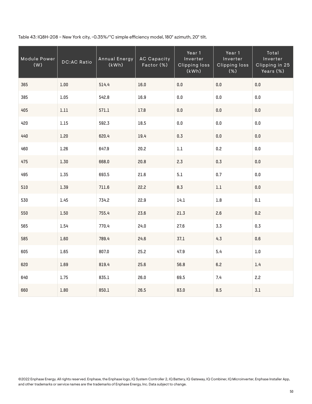Table 43: IQ8H-208 – New York city, -0.35%/°C simple efficiency model, 180° azimuth, 20° tilt.

| Module Power<br>(W) | <b>DC:AC Ratio</b> | <b>Annual Energy</b><br>(kWh) | <b>AC Capacity</b><br>Factor (%) | Year 1<br>Inverter<br><b>Clipping loss</b><br>(kWh) | Year 1<br>Inverter<br><b>Clipping loss</b><br>(%) | Total<br>Inverter<br>Clipping in 25<br>Years (%) |
|---------------------|--------------------|-------------------------------|----------------------------------|-----------------------------------------------------|---------------------------------------------------|--------------------------------------------------|
| 365                 | $1.00\,$           | 514.4                         | 16.0                             | $0.0\,$                                             | $0.0\,$                                           | $0.0\,$                                          |
| 385                 | 1.05               | 542.8                         | 16.9                             | 0.0                                                 | $0.0\,$                                           | $0.0\,$                                          |
| 405                 | $1.11\,$           | 571.1                         | 17.8                             | $0.0\,$                                             | $0.0\,$                                           | $0.0\,$                                          |
| 420                 | $1.15\,$           | 592.3                         | 18.5                             | $0.0\,$                                             | $0.0\,$                                           | 0.0                                              |
| 440                 | 1.20               | 620.4                         | 19.4                             | 0.3                                                 | $0.0\,$                                           | $0.0\,$                                          |
| 460                 | 1.26               | 647.9                         | 20.2                             | $1.1\,$                                             | 0.2                                               | 0.0                                              |
| 475                 | 1.30               | 668.0                         | 20.8                             | 2.3                                                 | 0.3                                               | $0.0\,$                                          |
| 495                 | 1.35               | 693.5                         | 21.6                             | 5.1                                                 | 0.7                                               | $0.0\,$                                          |
| 510                 | 1.39               | 711.6                         | 22.2                             | 8.3                                                 | $1.1\,$                                           | $0.0\,$                                          |
| 530                 | 1.45               | 734.2                         | 22.9                             | 14.1                                                | $1.8\,$                                           | $0.1\,$                                          |
| 550                 | 1.50               | 755.4                         | 23.6                             | 21.3                                                | 2.6                                               | 0.2                                              |
| 565                 | 1.54               | 770.4                         | 24.0                             | 27.6                                                | 3.3                                               | 0.3                                              |
| 585                 | 1.60               | 789.4                         | 24.6                             | 37.1                                                | 4.3                                               | 0.6                                              |
| 605                 | 1.65               | 807.0                         | 25.2                             | 47.9                                                | 5.4                                               | $1.0\,$                                          |
| 620                 | 1.69               | 819.4                         | 25.6                             | 56.8                                                | 6.2                                               | 1.4                                              |
| 640                 | 1.75               | 835.1                         | 26.0                             | 69.5                                                | 7.4                                               | 2.2                                              |
| 660                 | 1.80               | 850.1                         | 26.5                             | 83.0                                                | 8.5                                               | $3.1\,$                                          |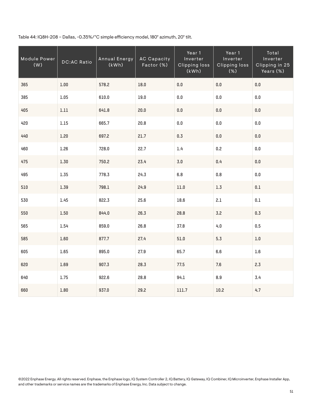Table 44: IQ8H-208 – Dallas, -0.35%/°C simple efficiency model, 180° azimuth, 20° tilt.

| Module Power<br>(W) | <b>DC:AC Ratio</b> | <b>Annual Energy</b><br>(kWh) | <b>AC Capacity</b><br>Factor (%) | Year 1<br>Inverter<br><b>Clipping loss</b><br>(kWh) | Year 1<br>Inverter<br><b>Clipping loss</b><br>$(\%)$ | Total<br>Inverter<br>Clipping in 25<br>Years (%) |
|---------------------|--------------------|-------------------------------|----------------------------------|-----------------------------------------------------|------------------------------------------------------|--------------------------------------------------|
| 365                 | $1.00\,$           | 578.2                         | 18.0                             | $0.0\,$                                             | $0.0\,$                                              | $0.0\,$                                          |
| 385                 | 1.05               | 610.0                         | 19.0                             | $0.0\,$                                             | $0.0\,$                                              | $0.0\,$                                          |
| 405                 | $1.11\,$           | 641.8                         | 20.0                             | $0.0\,$                                             | $0.0\,$                                              | $0.0\,$                                          |
| 420                 | $1.15$             | 665.7                         | 20.8                             | $0.0\,$                                             | $0.0\,$                                              | $0.0\,$                                          |
| 440                 | 1.20               | 697.2                         | 21.7                             | 0.3                                                 | $0.0\,$                                              | $0.0\,$                                          |
| 460                 | 1.26               | 728.0                         | 22.7                             | 1.4                                                 | 0.2                                                  | $0.0\,$                                          |
| 475                 | 1.30               | 750.2                         | 23.4                             | 3.0                                                 | 0.4                                                  | 0.0                                              |
| 495                 | 1.35               | 778.3                         | 24.3                             | 6.8                                                 | 0.8                                                  | $0.0\,$                                          |
| 510                 | 1.39               | 798.1                         | 24.9                             | $11.0\,$                                            | $1.3\,$                                              | $0.1\,$                                          |
| 530                 | 1.45               | 822.3                         | 25.6                             | 18.6                                                | 2.1                                                  | 0.1                                              |
| 550                 | 1.50               | 844.0                         | 26.3                             | 28.8                                                | 3.2                                                  | 0.3                                              |
| 565                 | 1.54               | 859.0                         | 26.8                             | 37.8                                                | $4.0\,$                                              | 0.5                                              |
| 585                 | 1.60               | 877.7                         | 27.4                             | $51.0$                                              | 5.3                                                  | $1.0\,$                                          |
| 605                 | 1.65               | 895.0                         | 27.9                             | 65.7                                                | 6.6                                                  | 1.6                                              |
| 620                 | 1.69               | 907.3                         | 28.3                             | 77.5                                                | 7.6                                                  | 2.3                                              |
| 640                 | 1.75               | 922.6                         | 28.8                             | 94.1                                                | $\bf 8.9$                                            | 3.4                                              |
| 660                 | 1.80               | 937.0                         | 29.2                             | 111.7                                               | $10.2\,$                                             | 4.7                                              |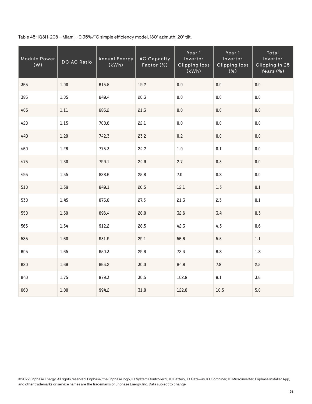Table 45: IQ8H-208 – Miami, -0.35%/°C simple efficiency model, 180° azimuth, 20° tilt.

| Module Power<br>(W) | <b>DC:AC Ratio</b> | <b>Annual Energy</b><br>(kWh) | <b>AC Capacity</b><br>Factor (%) | Year 1<br>Inverter<br><b>Clipping loss</b><br>(kWh) | Year 1<br>Inverter<br><b>Clipping loss</b><br>(%) | Total<br>Inverter<br>Clipping in 25<br>Years (%) |
|---------------------|--------------------|-------------------------------|----------------------------------|-----------------------------------------------------|---------------------------------------------------|--------------------------------------------------|
| 365                 | 1.00               | 615.5                         | 19.2                             | $0.0\,$                                             | $0.0\,$                                           | $0.0\,$                                          |
| 385                 | 1.05               | 649.4                         | 20.3                             | $0.0\,$                                             | $0.0\,$                                           | $0.0\,$                                          |
| 405                 | $1.11\,$           | 683.2                         | 21.3                             | $0.0\,$                                             | $0.0\,$                                           | $0.0\,$                                          |
| 420                 | $1.15\,$           | 708.6                         | 22.1                             | $0.0\,$                                             | $0.0\,$                                           | 0.0                                              |
| 440                 | 1.20               | 742.3                         | 23.2                             | 0.2                                                 | $0.0\,$                                           | $0.0\,$                                          |
| 460                 | 1.26               | 775.3                         | 24.2                             | $1.0\,$                                             | 0.1                                               | $0.0\,$                                          |
| 475                 | 1.30               | 799.1                         | 24.9                             | 2.7                                                 | 0.3                                               | $0.0\,$                                          |
| 495                 | 1.35               | 828.6                         | 25.8                             | 7.0                                                 | 0.8                                               | $0.0\,$                                          |
| 510                 | 1.39               | 849.1                         | 26.5                             | 12.1                                                | $1.3\,$                                           | $0.1\,$                                          |
| 530                 | 1.45               | 873.8                         | 27.3                             | 21.3                                                | 2.3                                               | $0.1\,$                                          |
| 550                 | 1.50               | 896.4                         | 28.0                             | 32.6                                                | 3.4                                               | 0.3                                              |
| 565                 | 1.54               | 912.2                         | 28.5                             | 42.3                                                | 4.3                                               | $0.6\,$                                          |
| 585                 | $1.60\,$           | 931.9                         | 29.1                             | 56.6                                                | 5.5                                               | $1.1\,$                                          |
| 605                 | 1.65               | 950.3                         | 29.6                             | 72.3                                                | 6.8                                               | $1.8\,$                                          |
| 620                 | 1.69               | 963.2                         | 30.0                             | 84.8                                                | 7.8                                               | 2.5                                              |
| 640                 | 1.75               | 979.3                         | 30.5                             | 102.8                                               | 9.1                                               | 3.6                                              |
| 660                 | 1.80               | 994.2                         | 31.0                             | 122.0                                               | 10.5                                              | 5.0                                              |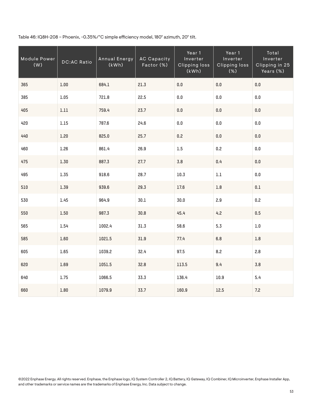Table 46: IQ8H-208 – Phoenix, -0.35%/°C simple efficiency model, 180° azimuth, 20° tilt.

| Module Power<br>(W) | <b>DC:AC Ratio</b> | Annual Energy<br>(kWh) | <b>AC Capacity</b><br>Factor (%) | Year 1<br>Inverter<br>Clipping loss<br>(kWh) | Year 1<br>Inverter<br><b>Clipping loss</b><br>(%) | Total<br>Inverter<br>Clipping in 25<br>Years (%) |
|---------------------|--------------------|------------------------|----------------------------------|----------------------------------------------|---------------------------------------------------|--------------------------------------------------|
| 365                 | $1.00\,$           | 684.1                  | 21.3                             | $0.0\,$                                      | $0.0\,$                                           | $0.0\,$                                          |
| 385                 | $1.05\,$           | 721.8                  | 22.5                             | 0.0                                          | 0.0                                               | $0.0\,$                                          |
| 405                 | $1.11\,$           | 759.4                  | 23.7                             | $0.0\,$                                      | $0.0\,$                                           | $0.0\,$                                          |
| 420                 | $1.15\,$           | 787.6                  | 24.6                             | $0.0\,$                                      | $0.0\,$                                           | $0.0\,$                                          |
| 440                 | 1.20               | 825.0                  | 25.7                             | 0.2                                          | $0.0\,$                                           | $0.0\,$                                          |
| 460                 | 1.26               | 861.4                  | 26.9                             | 1.5                                          | 0.2                                               | 0.0                                              |
| 475                 | 1.30               | 887.3                  | 27.7                             | $3.8\,$                                      | 0.4                                               | $0.0\,$                                          |
| 495                 | 1.35               | 918.6                  | 28.7                             | 10.3                                         | $1.1\,$                                           | 0.0                                              |
| 510                 | 1.39               | 939.6                  | 29.3                             | 17.6                                         | $1.8\,$                                           | $0.1\,$                                          |
| 530                 | 1.45               | 964.9                  | 30.1                             | 30.0                                         | 2.9                                               | $0.2\,$                                          |
| 550                 | 1.50               | 987.3                  | 30.8                             | 45.4                                         | 4.2                                               | 0.5                                              |
| 565                 | 1.54               | 1002.4                 | 31.3                             | 58.6                                         | 5.3                                               | $1.0\,$                                          |
| 585                 | 1.60               | 1021.5                 | 31.9                             | 77.4                                         | $6.8\,$                                           | $1.8\,$                                          |
| 605                 | 1.65               | 1039.2                 | 32.4                             | 97.5                                         | 8.2                                               | 2.8                                              |
| 620                 | 1.69               | 1051.5                 | 32.8                             | 113.5                                        | 9.4                                               | 3.8                                              |
| 640                 | $1.75\,$           | 1066.5                 | 33.3                             | 136.4                                        | $10.9\,$                                          | 5.4                                              |
| 660                 | $1.80\,$           | 1079.9                 | 33.7                             | 160.9                                        | 12.5                                              | 7.2                                              |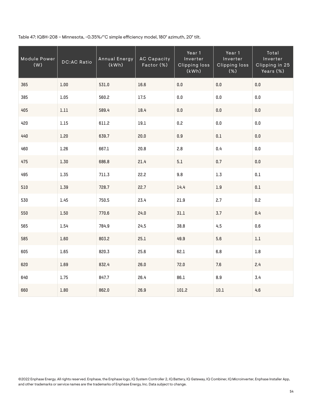Table 47: IQ8H-208 – Minnesota, -0.35%/°C simple efficiency model, 180° azimuth, 20° tilt.

| Module Power<br>(W) | <b>DC:AC Ratio</b> | <b>Annual Energy</b><br>(kWh) | <b>AC Capacity</b><br>Factor (%) | Year 1<br>Inverter<br><b>Clipping loss</b><br>(kWh) | Year 1<br>Inverter<br><b>Clipping loss</b><br>(%) | Total<br>Inverter<br>Clipping in 25<br>Years (%) |
|---------------------|--------------------|-------------------------------|----------------------------------|-----------------------------------------------------|---------------------------------------------------|--------------------------------------------------|
| 365                 | 1.00               | 531.0                         | 16.6                             | 0.0                                                 | 0.0                                               | $0.0\,$                                          |
| 385                 | 1.05               | 560.2                         | 17.5                             | 0.0                                                 | $0.0\,$                                           | 0.0                                              |
| 405                 | $1.11\,$           | 589.4                         | 18.4                             | $0.0\,$                                             | $0.0\,$                                           | $0.0\,$                                          |
| 420                 | $1.15$             | 611.2                         | $19.1\,$                         | 0.2                                                 | $0.0\,$                                           | $0.0\,$                                          |
| 440                 | 1.20               | 639.7                         | 20.0                             | $0.9\,$                                             | $0.1\,$                                           | $0.0\,$                                          |
| 460                 | 1.26               | 667.1                         | 20.8                             | 2.8                                                 | 0.4                                               | 0.0                                              |
| 475                 | 1.30               | 686.8                         | 21.4                             | 5.1                                                 | 0.7                                               | $0.0\,$                                          |
| 495                 | 1.35               | 711.3                         | 22.2                             | 9.8                                                 | 1.3                                               | 0.1                                              |
| 510                 | 1.39               | 728.7                         | 22.7                             | 14.4                                                | $1.9\,$                                           | $0.1\,$                                          |
| 530                 | 1.45               | 750.5                         | 23.4                             | 21.9                                                | 2.7                                               | 0.2                                              |
| 550                 | 1.50               | 770.6                         | 24.0                             | 31.1                                                | 3.7                                               | 0.4                                              |
| 565                 | 1.54               | 784.9                         | 24.5                             | 38.8                                                | 4.5                                               | 0.6                                              |
| 585                 | $1.60\,$           | 803.2                         | 25.1                             | 49.9                                                | 5.6                                               | $1.1\,$                                          |
| 605                 | 1.65               | 820.3                         | 25.6                             | 62.1                                                | 6.8                                               | $1.8\,$                                          |
| 620                 | $1.69\,$           | 832.4                         | 26.0                             | 72.0                                                | 7.6                                               | 2.4                                              |
| 640                 | 1.75               | 847.7                         | 26.4                             | 86.1                                                | 8.9                                               | 3.4                                              |
| 660                 | 1.80               | 862.0                         | 26.9                             | 101.2                                               | $10.1\,$                                          | 4.6                                              |

©2022 Enphase Energy. All rights reserved. Enphase, the Enphase logo, IQ System Controller 2, IQ Battery, IQ Gateway, IQ Combiner, IQ Microinverter, Enphase Installer App, and other trademarks or service names are the trademarks of Enphase Energy, Inc. Data subject to change.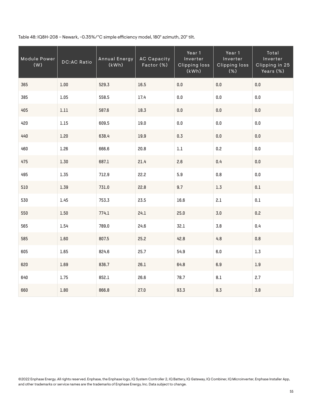Table 48: IQ8H-208 – Newark, -0.35%/°C simple efficiency model, 180° azimuth, 20° tilt.

| Module Power<br>(W) | <b>DC:AC Ratio</b> | <b>Annual Energy</b><br>(kWh) | <b>AC Capacity</b><br>Factor (%) | Year 1<br>Inverter<br><b>Clipping loss</b><br>(kWh) | Year 1<br>Inverter<br><b>Clipping loss</b><br>(%) | Total<br>Inverter<br>Clipping in 25<br>Years (%) |
|---------------------|--------------------|-------------------------------|----------------------------------|-----------------------------------------------------|---------------------------------------------------|--------------------------------------------------|
| 365                 | 1.00               | 529.3                         | 16.5                             | 0.0                                                 | 0.0                                               | $0.0\,$                                          |
| 385                 | 1.05               | 558.5                         | 17.4                             | 0.0                                                 | $0.0\,$                                           | 0.0                                              |
| 405                 | $1.11\,$           | 587.6                         | 18.3                             | $0.0\,$                                             | $0.0\,$                                           | $0.0\,$                                          |
| 420                 | $1.15$             | 609.5                         | 19.0                             | $0.0\,$                                             | $0.0\,$                                           | $0.0\,$                                          |
| 440                 | 1.20               | 638.4                         | 19.9                             | 0.3                                                 | $0.0\,$                                           | $0.0\,$                                          |
| 460                 | 1.26               | 666.6                         | 20.8                             | $1.1\,$                                             | 0.2                                               | 0.0                                              |
| 475                 | 1.30               | 687.1                         | 21.4                             | 2.6                                                 | 0.4                                               | $0.0\,$                                          |
| 495                 | 1.35               | 712.9                         | 22.2                             | 5.9                                                 | 0.8                                               | $0.0\,$                                          |
| 510                 | 1.39               | 731.0                         | 22.8                             | 9.7                                                 | $1.3\,$                                           | $0.1\,$                                          |
| 530                 | 1.45               | 753.3                         | 23.5                             | 16.6                                                | 2.1                                               | $0.1\,$                                          |
| 550                 | 1.50               | 774.1                         | 24.1                             | 25.0                                                | $3.0$                                             | 0.2                                              |
| 565                 | 1.54               | 789.0                         | 24.6                             | 32.1                                                | 3.8                                               | 0.4                                              |
| 585                 | $1.60\,$           | 807.5                         | 25.2                             | 42.8                                                | 4.8                                               | $0.8\,$                                          |
| 605                 | 1.65               | 824.6                         | 25.7                             | 54.9                                                | 6.0                                               | $1.3\,$                                          |
| 620                 | $1.69\,$           | 836.7                         | 26.1                             | 64.8                                                | 6.9                                               | $1.9\,$                                          |
| 640                 | 1.75               | 852.1                         | 26.6                             | 78.7                                                | $\boldsymbol{8.1}$                                | 2.7                                              |
| 660                 | 1.80               | 866.8                         | 27.0                             | 93.3                                                | 9.3                                               | 3.8                                              |